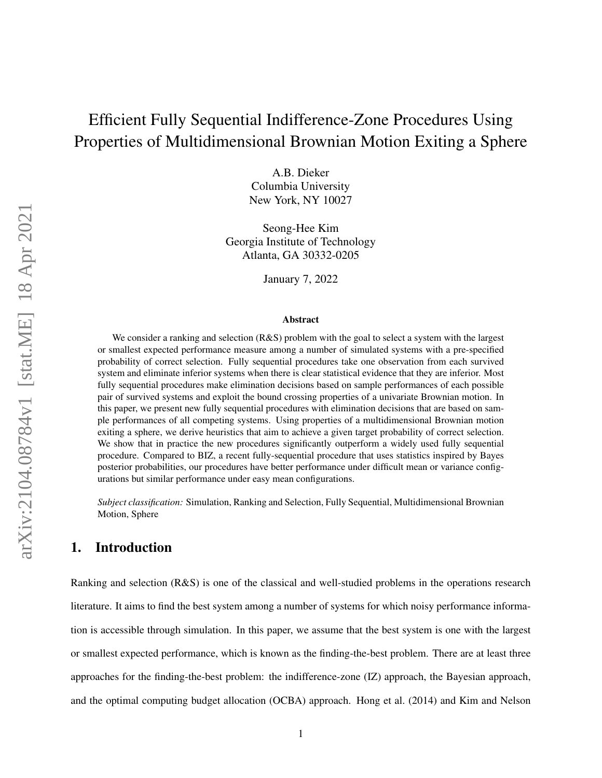# Efficient Fully Sequential Indifference-Zone Procedures Using Properties of Multidimensional Brownian Motion Exiting a Sphere

A.B. Dieker Columbia University New York, NY 10027

Seong-Hee Kim Georgia Institute of Technology Atlanta, GA 30332-0205

January 7, 2022

#### Abstract

We consider a ranking and selection (R&S) problem with the goal to select a system with the largest or smallest expected performance measure among a number of simulated systems with a pre-specified probability of correct selection. Fully sequential procedures take one observation from each survived system and eliminate inferior systems when there is clear statistical evidence that they are inferior. Most fully sequential procedures make elimination decisions based on sample performances of each possible pair of survived systems and exploit the bound crossing properties of a univariate Brownian motion. In this paper, we present new fully sequential procedures with elimination decisions that are based on sample performances of all competing systems. Using properties of a multidimensional Brownian motion exiting a sphere, we derive heuristics that aim to achieve a given target probability of correct selection. We show that in practice the new procedures significantly outperform a widely used fully sequential procedure. Compared to BIZ, a recent fully-sequential procedure that uses statistics inspired by Bayes posterior probabilities, our procedures have better performance under difficult mean or variance configurations but similar performance under easy mean configurations.

*Subject classification:* Simulation, Ranking and Selection, Fully Sequential, Multidimensional Brownian Motion, Sphere

### 1. Introduction

Ranking and selection (R&S) is one of the classical and well-studied problems in the operations research literature. It aims to find the best system among a number of systems for which noisy performance information is accessible through simulation. In this paper, we assume that the best system is one with the largest or smallest expected performance, which is known as the finding-the-best problem. There are at least three approaches for the finding-the-best problem: the indifference-zone (IZ) approach, the Bayesian approach, and the optimal computing budget allocation (OCBA) approach. Hong et al. (2014) and Kim and Nelson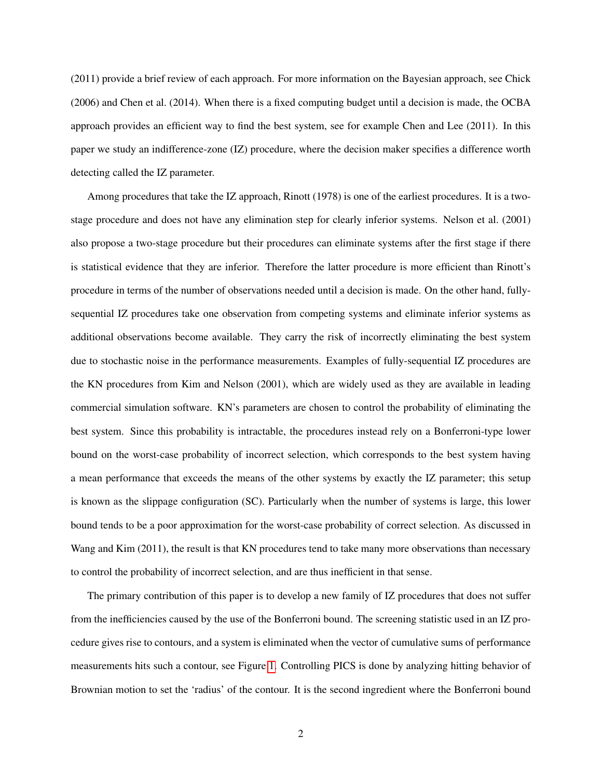(2011) provide a brief review of each approach. For more information on the Bayesian approach, see Chick (2006) and Chen et al. (2014). When there is a fixed computing budget until a decision is made, the OCBA approach provides an efficient way to find the best system, see for example Chen and Lee (2011). In this paper we study an indifference-zone (IZ) procedure, where the decision maker specifies a difference worth detecting called the IZ parameter.

Among procedures that take the IZ approach, Rinott (1978) is one of the earliest procedures. It is a twostage procedure and does not have any elimination step for clearly inferior systems. Nelson et al. (2001) also propose a two-stage procedure but their procedures can eliminate systems after the first stage if there is statistical evidence that they are inferior. Therefore the latter procedure is more efficient than Rinott's procedure in terms of the number of observations needed until a decision is made. On the other hand, fullysequential IZ procedures take one observation from competing systems and eliminate inferior systems as additional observations become available. They carry the risk of incorrectly eliminating the best system due to stochastic noise in the performance measurements. Examples of fully-sequential IZ procedures are the KN procedures from Kim and Nelson (2001), which are widely used as they are available in leading commercial simulation software. KN's parameters are chosen to control the probability of eliminating the best system. Since this probability is intractable, the procedures instead rely on a Bonferroni-type lower bound on the worst-case probability of incorrect selection, which corresponds to the best system having a mean performance that exceeds the means of the other systems by exactly the IZ parameter; this setup is known as the slippage configuration (SC). Particularly when the number of systems is large, this lower bound tends to be a poor approximation for the worst-case probability of correct selection. As discussed in Wang and Kim (2011), the result is that KN procedures tend to take many more observations than necessary to control the probability of incorrect selection, and are thus inefficient in that sense.

The primary contribution of this paper is to develop a new family of IZ procedures that does not suffer from the inefficiencies caused by the use of the Bonferroni bound. The screening statistic used in an IZ procedure gives rise to contours, and a system is eliminated when the vector of cumulative sums of performance measurements hits such a contour, see Figure [1.](#page-2-0) Controlling PICS is done by analyzing hitting behavior of Brownian motion to set the 'radius' of the contour. It is the second ingredient where the Bonferroni bound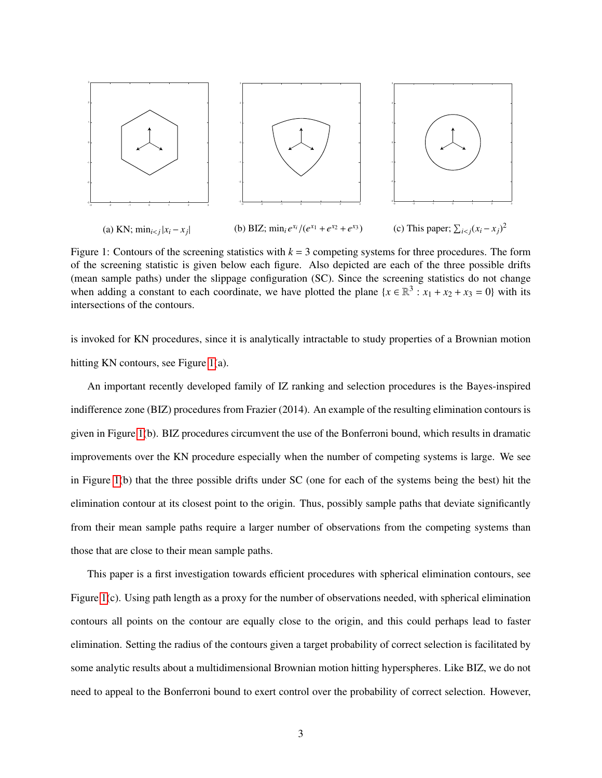<span id="page-2-0"></span>

Figure 1: Contours of the screening statistics with  $k = 3$  competing systems for three procedures. The form of the screening statistic is given below each figure. Also depicted are each of the three possible drifts (mean sample paths) under the slippage configuration (SC). Since the screening statistics do not change when adding a constant to each coordinate, we have plotted the plane  $\{x \in \mathbb{R}^3 : x_1 + x_2 + x_3 = 0\}$  with its intersections of the contours.

is invoked for KN procedures, since it is analytically intractable to study properties of a Brownian motion hitting KN contours, see Figure [1\(](#page-2-0)a).

An important recently developed family of IZ ranking and selection procedures is the Bayes-inspired indifference zone (BIZ) procedures from Frazier (2014). An example of the resulting elimination contours is given in Figure [1\(](#page-2-0)b). BIZ procedures circumvent the use of the Bonferroni bound, which results in dramatic improvements over the KN procedure especially when the number of competing systems is large. We see in Figure [1\(](#page-2-0)b) that the three possible drifts under SC (one for each of the systems being the best) hit the elimination contour at its closest point to the origin. Thus, possibly sample paths that deviate significantly from their mean sample paths require a larger number of observations from the competing systems than those that are close to their mean sample paths.

This paper is a first investigation towards efficient procedures with spherical elimination contours, see Figure [1\(](#page-2-0)c). Using path length as a proxy for the number of observations needed, with spherical elimination contours all points on the contour are equally close to the origin, and this could perhaps lead to faster elimination. Setting the radius of the contours given a target probability of correct selection is facilitated by some analytic results about a multidimensional Brownian motion hitting hyperspheres. Like BIZ, we do not need to appeal to the Bonferroni bound to exert control over the probability of correct selection. However,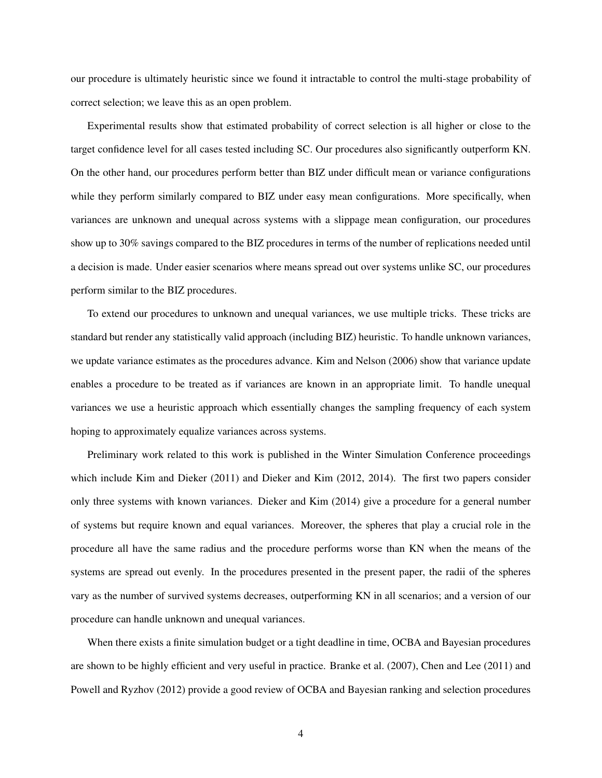our procedure is ultimately heuristic since we found it intractable to control the multi-stage probability of correct selection; we leave this as an open problem.

Experimental results show that estimated probability of correct selection is all higher or close to the target confidence level for all cases tested including SC. Our procedures also significantly outperform KN. On the other hand, our procedures perform better than BIZ under difficult mean or variance configurations while they perform similarly compared to BIZ under easy mean configurations. More specifically, when variances are unknown and unequal across systems with a slippage mean configuration, our procedures show up to 30% savings compared to the BIZ procedures in terms of the number of replications needed until a decision is made. Under easier scenarios where means spread out over systems unlike SC, our procedures perform similar to the BIZ procedures.

To extend our procedures to unknown and unequal variances, we use multiple tricks. These tricks are standard but render any statistically valid approach (including BIZ) heuristic. To handle unknown variances, we update variance estimates as the procedures advance. Kim and Nelson (2006) show that variance update enables a procedure to be treated as if variances are known in an appropriate limit. To handle unequal variances we use a heuristic approach which essentially changes the sampling frequency of each system hoping to approximately equalize variances across systems.

Preliminary work related to this work is published in the Winter Simulation Conference proceedings which include Kim and Dieker (2011) and Dieker and Kim (2012, 2014). The first two papers consider only three systems with known variances. Dieker and Kim (2014) give a procedure for a general number of systems but require known and equal variances. Moreover, the spheres that play a crucial role in the procedure all have the same radius and the procedure performs worse than KN when the means of the systems are spread out evenly. In the procedures presented in the present paper, the radii of the spheres vary as the number of survived systems decreases, outperforming KN in all scenarios; and a version of our procedure can handle unknown and unequal variances.

When there exists a finite simulation budget or a tight deadline in time, OCBA and Bayesian procedures are shown to be highly efficient and very useful in practice. Branke et al. (2007), Chen and Lee (2011) and Powell and Ryzhov (2012) provide a good review of OCBA and Bayesian ranking and selection procedures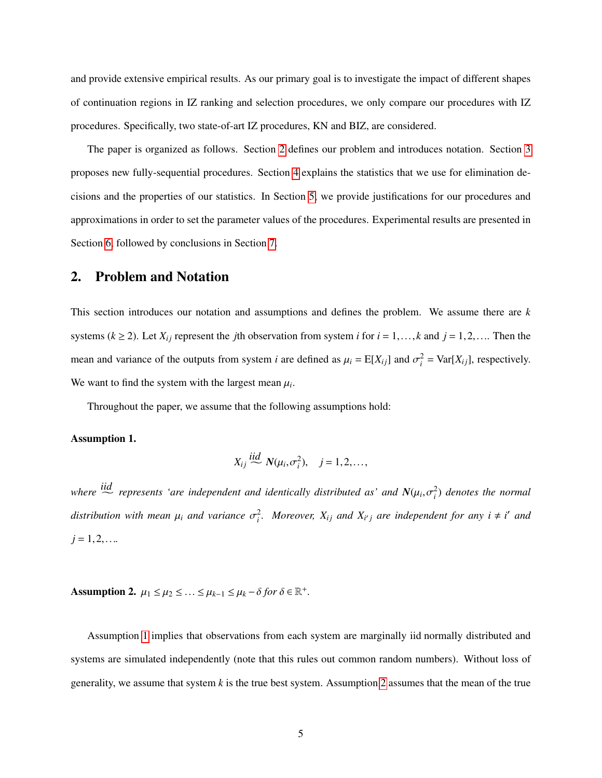and provide extensive empirical results. As our primary goal is to investigate the impact of different shapes of continuation regions in IZ ranking and selection procedures, we only compare our procedures with IZ procedures. Specifically, two state-of-art IZ procedures, KN and BIZ, are considered.

The paper is organized as follows. Section [2](#page-4-0) defines our problem and introduces notation. Section [3](#page-5-0) proposes new fully-sequential procedures. Section [4](#page-8-0) explains the statistics that we use for elimination decisions and the properties of our statistics. In Section [5,](#page-11-0) we provide justifications for our procedures and approximations in order to set the parameter values of the procedures. Experimental results are presented in Section [6,](#page-24-0) followed by conclusions in Section [7.](#page-28-0)

### <span id="page-4-0"></span>2. Problem and Notation

This section introduces our notation and assumptions and defines the problem. We assume there are *k* systems ( $k \ge 2$ ). Let  $X_{ij}$  represent the *j*th observation from system *i* for  $i = 1, ..., k$  and  $j = 1, 2, ...$  Then the mean and variance of the outputs from system *i* are defined as  $\mu_i = E[X_{ij}]$  and  $\sigma_i^2 = \text{Var}[X_{ij}]$ , respectively. We want to find the system with the largest mean  $\mu_i$ .

Throughout the paper, we assume that the following assumptions hold:

#### <span id="page-4-1"></span>Assumption 1.

$$
X_{ij} \stackrel{iid}{\sim} N(\mu_i, \sigma_i^2), \quad j = 1, 2, \ldots,
$$

where  $\frac{iid}{\sim}$  *represents 'are independent and identically distributed as' and*  $N(\mu_i, \sigma_i^2)$  *denotes the normal* distribution with mean  $\mu_i$  and variance  $\sigma_i^2$ . Moreover,  $X_{ij}$  and  $X_{i'j}$  are independent for any  $i \neq i'$  and  $j = 1, 2, \ldots$ 

<span id="page-4-2"></span>Assumption 2.  $\mu_1 \leq \mu_2 \leq \ldots \leq \mu_{k-1} \leq \mu_k - \delta$  for  $\delta \in \mathbb{R}^+$ .

Assumption [1](#page-4-1) implies that observations from each system are marginally iid normally distributed and systems are simulated independently (note that this rules out common random numbers). Without loss of generality, we assume that system *k* is the true best system. Assumption [2](#page-4-2) assumes that the mean of the true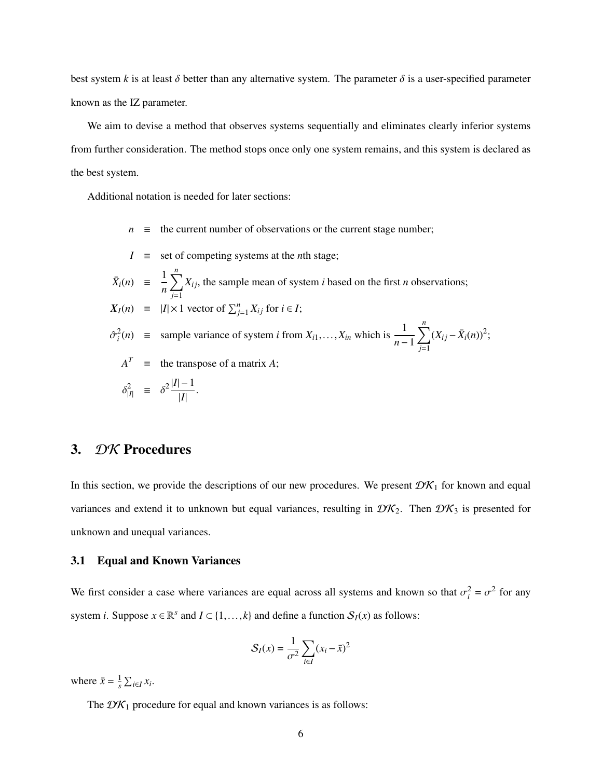best system *k* is at least  $\delta$  better than any alternative system. The parameter  $\delta$  is a user-specified parameter known as the IZ parameter.

We aim to devise a method that observes systems sequentially and eliminates clearly inferior systems from further consideration. The method stops once only one system remains, and this system is declared as the best system.

Additional notation is needed for later sections:

- $n \equiv$  the current number of observations or the current stage number;
- $I \equiv$  set of competing systems at the *n*th stage;  $\bar{X}_i(n) = \frac{1}{n}$ *n*  $\sum_{n=1}^{n}$ *j*=1  $X_{ij}$ , the sample mean of system *i* based on the first *n* observations;  $X_I(n) \equiv |I| \times 1$  vector of  $\sum_{j=1}^n X_{ij}$  for  $i \in I$ ;  $\hat{\sigma}_i^2(n)$  = sample variance of system *i* from  $X_{i1},...,X_{in}$  which is  $\frac{1}{n-1}$  $\sum_{n=1}^{n}$ *j*=1  $(X_{ij} - \bar{X}_i(n))^2;$  $A^T$  = the transpose of a matrix *A*;  $\frac{2}{|I|}$  =  $\delta^2 \frac{|I|-1}{|I|}$ |*I*| .

### <span id="page-5-0"></span>3. DK Procedures

In this section, we provide the descriptions of our new procedures. We present  $\mathcal{DK}_1$  for known and equal variances and extend it to unknown but equal variances, resulting in  $\mathcal{DK}_2$ . Then  $\mathcal{DK}_3$  is presented for unknown and unequal variances.

#### 3.1 Equal and Known Variances

We first consider a case where variances are equal across all systems and known so that  $\sigma_i^2 = \sigma^2$  for any system *i*. Suppose  $x \in \mathbb{R}^s$  and  $I \subset \{1, ..., k\}$  and define a function  $S_I(x)$  as follows:

$$
S_I(x) = \frac{1}{\sigma^2} \sum_{i \in I} (x_i - \bar{x})^2
$$

where  $\bar{x} = \frac{1}{s}$  $\frac{1}{s}$   $\sum_{i \in I} x_i$ .

The  $\mathcal{D}K_1$  procedure for equal and known variances is as follows: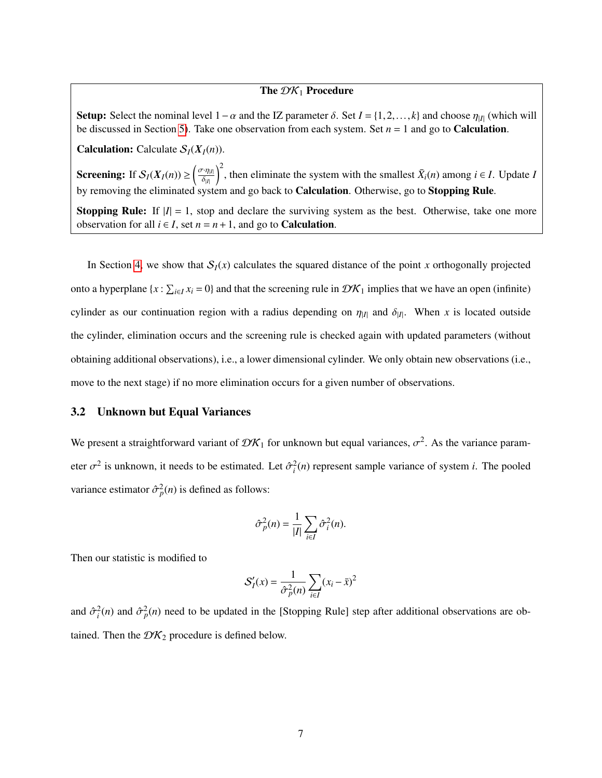#### The  $\mathcal{D}K_1$  Procedure

Setup: Select the nominal level  $1-\alpha$  and the IZ parameter  $\delta$ . Set  $I = \{1, 2, ..., k\}$  and choose  $\eta_{|I|}$  (which will be discussed in Section [5\)](#page-11-0). Take one observation from each system. Set  $n = 1$  and go to **Calculation**.

**Calculation:** Calculate  $S_I(X_I(n))$ .

**Screening:** If  $S_I(X_I(n)) \ge \left(\frac{\sigma \cdot \eta_{|I|}}{\delta n}\right)^2$ , then eliminate the system with the smallest  $\bar{X}_i(n)$  among  $i \in I$ . Update *I* by removing the eliminated system and go back to **Calculation**. Otherwise, go to **Stopping Rule**.

**Stopping Rule:** If  $|I| = 1$ , stop and declare the surviving system as the best. Otherwise, take one more observation for all  $i \in I$ , set  $n = n + 1$ , and go to **Calculation**.

In Section [4,](#page-8-0) we show that  $S<sub>I</sub>(x)$  calculates the squared distance of the point *x* orthogonally projected onto a hyperplane  $\{x : \sum_{i \in I} x_i = 0\}$  and that the screening rule in  $\mathcal{DK}_1$  implies that we have an open (infinite) cylinder as our continuation region with a radius depending on  $\eta_{|I|}$  and  $\delta_{|I|}$ . When *x* is located outside the cylinder, elimination occurs and the screening rule is checked again with updated parameters (without obtaining additional observations), i.e., a lower dimensional cylinder. We only obtain new observations (i.e., move to the next stage) if no more elimination occurs for a given number of observations.

#### 3.2 Unknown but Equal Variances

We present a straightforward variant of  $\mathcal{D}K_1$  for unknown but equal variances,  $\sigma^2$ . As the variance parameter  $\sigma^2$  is unknown, it needs to be estimated. Let  $\hat{\sigma}_i^2(n)$  represent sample variance of system *i*. The pooled variance estimator  $\hat{\sigma}_p^2(n)$  is defined as follows:

$$
\hat{\sigma}_p^2(n) = \frac{1}{|I|} \sum_{i \in I} \hat{\sigma}_i^2(n).
$$

Then our statistic is modified to

$$
S_I'(x) = \frac{1}{\hat{\sigma}_p^2(n)} \sum_{i \in I} (x_i - \bar{x})^2
$$

and  $\hat{\sigma}_i^2(n)$  and  $\hat{\sigma}_p^2(n)$  need to be updated in the [Stopping Rule] step after additional observations are obtained. Then the  $\mathcal{D}K_2$  procedure is defined below.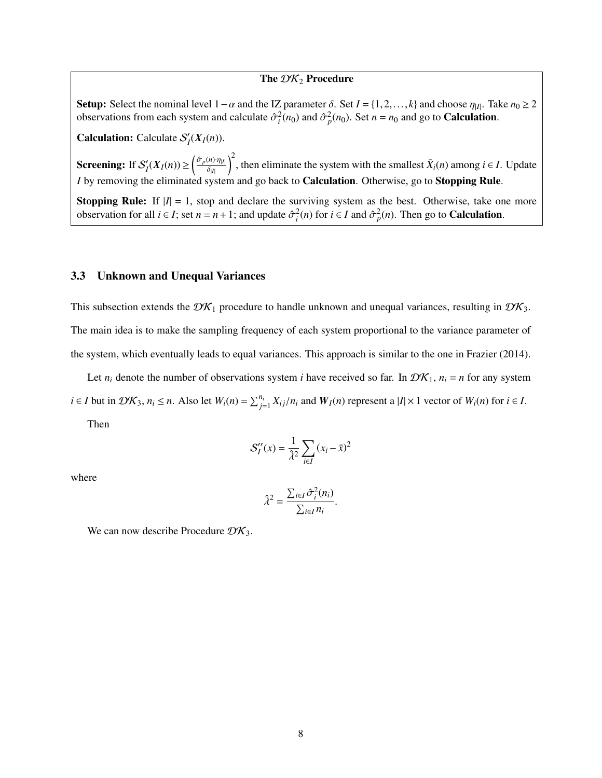#### The  $\mathcal{DK}_2$  Procedure

Setup: Select the nominal level  $1-\alpha$  and the IZ parameter  $\delta$ . Set  $I = \{1, 2, ..., k\}$  and choose  $\eta_{|I|}$ . Take  $n_0 \ge 2$  observations from each system and calculate  $\hat{\sigma}^2(n_0)$  and  $\hat{\sigma}^2(n_0)$ . Set  $n = n_0$  and go to observations from each system and calculate  $\hat{\sigma}_i^2(n_0)$  and  $\hat{\sigma}_p^2(n_0)$ . Set  $n = n_0$  and go to **Calculation**.

**Calculation:** Calculate  $S'_1$  $\iint_I (X_I(n)).$ 

**Screening:** If  $S'_i$  $\frac{1}{I}(X_I(n)) \geq \left(\frac{\hat{\sigma}_p(n) \cdot \eta_{|I|}}{\delta_{|I|}}\right)$ δ|*I*|  $\int_0^2$ , then eliminate the system with the smallest  $\bar{X}_i(n)$  among  $i \in I$ . Update *I* by removing the eliminated system and go back to **Calculation**. Otherwise, go to **Stopping Rule**.

**Stopping Rule:** If  $|I| = 1$ , stop and declare the surviving system as the best. Otherwise, take one more observation for all  $i \in I$ ; set  $n = n + 1$ ; and update  $\hat{\sigma}_i^2(n)$  for  $i \in I$  and  $\hat{\sigma}_p^2(n)$ . Then go to **Calculation**.

#### 3.3 Unknown and Unequal Variances

This subsection extends the  $\mathcal{DK}_1$  procedure to handle unknown and unequal variances, resulting in  $\mathcal{DK}_3$ . The main idea is to make the sampling frequency of each system proportional to the variance parameter of the system, which eventually leads to equal variances. This approach is similar to the one in Frazier (2014).

Let  $n_i$  denote the number of observations system *i* have received so far. In  $\mathcal{DK}_1$ ,  $n_i = n$  for any system  $i \in I$  but in  $\mathcal{D}K_3$ ,  $n_i \le n$ . Also let  $W_i(n) = \sum_{j=1}^{n_i} X_{ij}/n_i$  and  $W_I(n)$  represent a  $|I| \times 1$  vector of  $W_i(n)$  for  $i \in I$ .

Then

$$
\mathcal{S}_I''(x) = \frac{1}{\hat{\lambda}^2} \sum_{i \in I} (x_i - \bar{x})^2
$$

where

$$
\hat{\lambda}^2 = \frac{\sum_{i \in I} \hat{\sigma}_i^2(n_i)}{\sum_{i \in I} n_i}.
$$

We can now describe Procedure  $\mathcal{D}\mathcal{K}_3$ .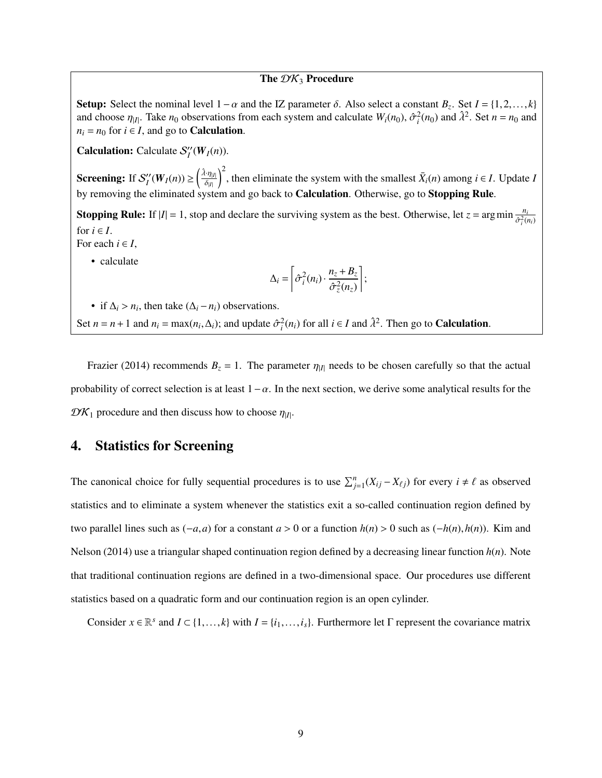#### The  $\mathcal{DK}_3$  Procedure

Setup: Select the nominal level  $1-\alpha$  and the IZ parameter δ. Also select a constant  $B_z$ . Set  $I = \{1, 2, ..., k\}$ <br>and choose  $B_z$ . Take  $p_0$  observations from each system and calculate  $W(x_0)$ ,  $\hat{\sigma}^2(x_0)$  and  $\hat{\mu}^2$ . and choose  $\eta_{|I|}$ . Take  $n_0$  observations from each system and calculate  $W_i(n_0)$ ,  $\hat{\sigma}_i^2(n_0)$  and  $\hat{\lambda}^2$ . Set  $n = n_0$  and  $n_1 = n_0$  for  $i \in I$  and go to Calculation  $n_i = n_0$  for  $i \in I$ , and go to **Calculation**.

**Calculation:** Calculate  $S_l$ <sup>"</sup>  $\iint_I (W_I(n)).$ 

Screening: If  $S_l$ <sup>"</sup>  $\binom{n}{I}(W_I(n)) \geq \left(\frac{\hat{\lambda} \cdot \eta_{|I|}}{\delta_{|I|}}\right)$ δ|*I*|  $\sum_{i=1}^{n}$ , then eliminate the system with the smallest  $\bar{X}_i(n)$  among  $i \in I$ . Update *I* by removing the eliminated system and go back to Calculation. Otherwise, go to Stopping Rule.

**Stopping Rule:** If  $|I| = 1$ , stop and declare the surviving system as the best. Otherwise, let  $z = \arg \min \frac{n_i}{2 \pi i}$  $\hat{\sigma}_i^2(n_i)$ for  $i \in I$ .

For each  $i \in I$ ,

• calculate

$$
\Delta_i = \left[ \hat{\sigma}_i^2(n_i) \cdot \frac{n_z + B_z}{\hat{\sigma}_z^2(n_z)} \right];
$$

• if  $\Delta_i > n_i$ , then take  $(\Delta_i - n_i)$  observations.

Set  $n = n + 1$  and  $n_i = \max(n_i, \Delta_i)$ ; and update  $\hat{\sigma}_i^2(n_i)$  for all  $i \in I$  and  $\hat{\lambda}^2$ . Then go to **Calculation**.

Frazier (2014) recommends  $B_z = 1$ . The parameter  $\eta_{|I|}$  needs to be chosen carefully so that the actual probability of correct selection is at least  $1-\alpha$ . In the next section, we derive some analytical results for the  $\mathcal{D}\mathcal{K}_1$  procedure and then discuss how to choose  $\eta_{|I|}$ .

## <span id="page-8-0"></span>4. Statistics for Screening

The canonical choice for fully sequential procedures is to use  $\sum_{j=1}^{n} (X_{ij} - X_{\ell j})$  for every  $i \neq \ell$  as observed statistics and to eliminate a system whenever the statistics exit a so-called continuation region defined by two parallel lines such as  $(-a,a)$  for a constant  $a > 0$  or a function  $h(n) > 0$  such as  $(-h(n), h(n))$ . Kim and Nelson (2014) use a triangular shaped continuation region defined by a decreasing linear function *h*(*n*). Note that traditional continuation regions are defined in a two-dimensional space. Our procedures use different statistics based on a quadratic form and our continuation region is an open cylinder.

Consider  $x \in \mathbb{R}^s$  and  $I \subset \{1, ..., k\}$  with  $I = \{i_1, ..., i_s\}$ . Furthermore let  $\Gamma$  represent the covariance matrix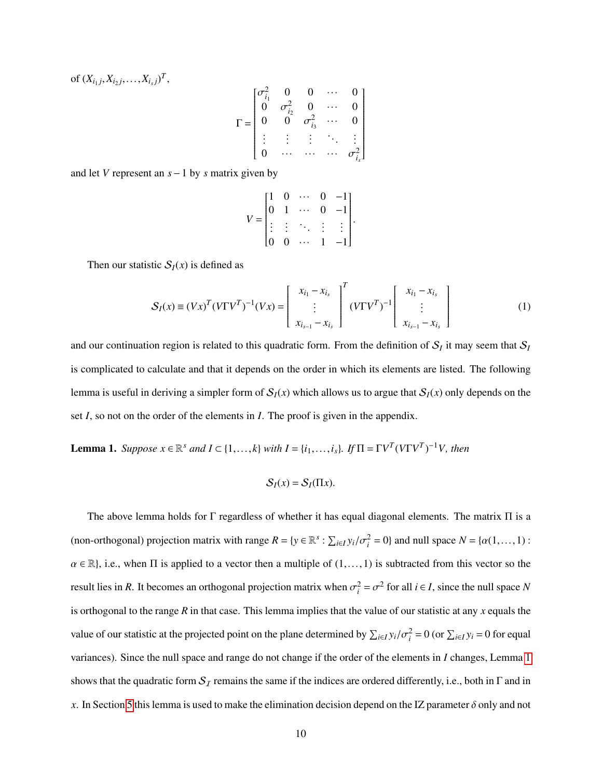of  $(X_{i_1 j}, X_{i_2 j}, \ldots, X_{i_s j})^T$ ,

$$
\Gamma = \begin{bmatrix} \sigma_{i_1}^2 & 0 & 0 & \cdots & 0 \\ 0 & \sigma_{i_2}^2 & 0 & \cdots & 0 \\ 0 & 0 & \sigma_{i_3}^2 & \cdots & 0 \\ \vdots & \vdots & \vdots & \ddots & \vdots \\ 0 & \cdots & \cdots & \cdots & \sigma_{i_s}^2 \end{bmatrix}
$$

and let *V* represent an *s*−1 by *s* matrix given by

$$
V = \begin{bmatrix} 1 & 0 & \cdots & 0 & -1 \\ 0 & 1 & \cdots & 0 & -1 \\ \vdots & \vdots & \ddots & \vdots & \vdots \\ 0 & 0 & \cdots & 1 & -1 \end{bmatrix}
$$

Then our statistic  $S_I(x)$  is defined as

<span id="page-9-1"></span>
$$
S_I(x) \equiv (Vx)^T (V\Gamma V^T)^{-1} (Vx) = \begin{bmatrix} x_{i_1} - x_{i_s} \\ \vdots \\ x_{i_{s-1}} - x_{i_s} \end{bmatrix}^T (V\Gamma V^T)^{-1} \begin{bmatrix} x_{i_1} - x_{i_s} \\ \vdots \\ x_{i_{s-1}} - x_{i_s} \end{bmatrix}
$$
 (1)

and our continuation region is related to this quadratic form. From the definition of  $S_I$  it may seem that  $S_I$ is complicated to calculate and that it depends on the order in which its elements are listed. The following lemma is useful in deriving a simpler form of  $S_I(x)$  which allows us to argue that  $S_I(x)$  only depends on the set *I*, so not on the order of the elements in *I*. The proof is given in the appendix.

<span id="page-9-0"></span>**Lemma 1.** *Suppose*  $x \in \mathbb{R}^s$  *and*  $I \subset \{1, ..., k\}$  *with*  $I = \{i_1, ..., i_s\}$ *. If*  $\Pi = \Gamma V^T (V\Gamma V^T)^{-1} V$ *, then* 

$$
\mathcal{S}_I(x) = \mathcal{S}_I(\Pi x).
$$

The above lemma holds for  $\Gamma$  regardless of whether it has equal diagonal elements. The matrix  $\Pi$  is a (non-orthogonal) projection matrix with range  $R = \{y \in \mathbb{R}^s : \sum_{i \in I} y_i / \sigma_i^2 = 0\}$  and null space  $N = \{\alpha(1, ..., 1) : \alpha(1, ..., 1)\}$  $\alpha \in \mathbb{R}$ , i.e., when  $\Pi$  is applied to a vector then a multiple of  $(1,\ldots,1)$  is subtracted from this vector so the result lies in *R*. It becomes an orthogonal projection matrix when  $\sigma_i^2 = \sigma^2$  for all  $i \in I$ , since the null space *N* is orthogonal to the range *R* in that case. This lemma implies that the value of our statistic at any *x* equals the value of our statistic at the projected point on the plane determined by  $\sum_{i\in I} y_i/\sigma_i^2 = 0$  (or  $\sum_{i\in I} y_i = 0$  for equal variances). Since the null space and range do not change if the order of the elements in *I* changes, Lemma [1](#page-9-0) shows that the quadratic form  $S_I$  remains the same if the indices are ordered differently, i.e., both in  $\Gamma$  and in *x*. In Section [5](#page-11-0) this lemma is used to make the elimination decision depend on the IZ parameter  $\delta$  only and not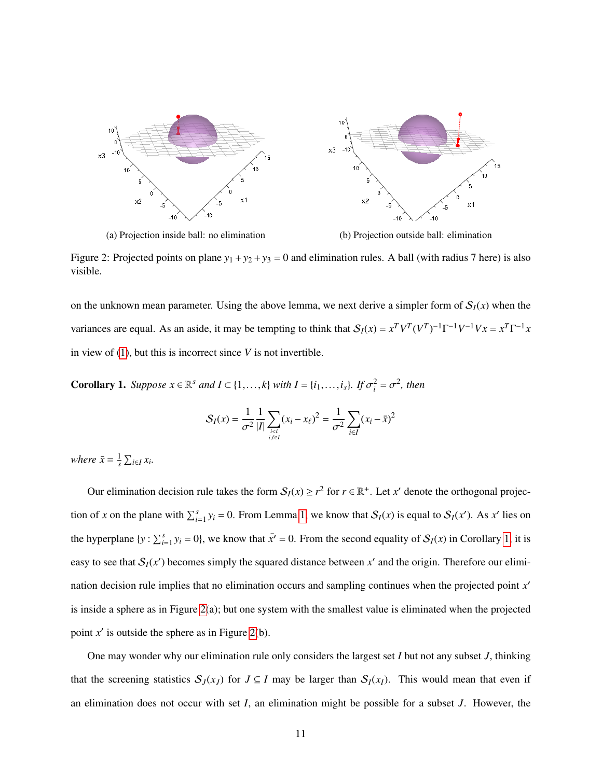<span id="page-10-1"></span>

(a) Projection inside ball: no elimination (b) Projection outside ball: elimination

Figure 2: Projected points on plane  $y_1 + y_2 + y_3 = 0$  and elimination rules. A ball (with radius 7 here) is also visible.

on the unknown mean parameter. Using the above lemma, we next derive a simpler form of  $S<sub>I</sub>(x)$  when the variances are equal. As an aside, it may be tempting to think that  $S_I(x) = x^T V^T (V^T)^{-1} \Gamma^{-1} V^{-1} V x = x^T \Gamma^{-1} x$ in view of [\(1\)](#page-9-1), but this is incorrect since *V* is not invertible.

<span id="page-10-0"></span>**Corollary 1.** *Suppose*  $x \in \mathbb{R}^s$  *and*  $I \subset \{1, ..., k\}$  *with*  $I = \{i_1, ..., i_s\}$ *. If*  $\sigma_i^2 = \sigma^2$ *, then* 

$$
S_I(x) = \frac{1}{\sigma^2} \frac{1}{|I|} \sum_{\substack{i < \ell \\ i, \ell \in I}} (x_i - x_\ell)^2 = \frac{1}{\sigma^2} \sum_{i \in I} (x_i - \bar{x})^2
$$

*where*  $\bar{x} = \frac{1}{s}$  $\frac{1}{s}$   $\sum_{i \in I} x_i$ .

Our elimination decision rule takes the form  $S_I(x) \ge r^2$  for  $r \in \mathbb{R}^+$ . Let *x*' denote the orthogonal projection of *x* on the plane with  $\sum_{i=1}^{s} y_i = 0$ . From Lemma [1,](#page-9-0) we know that  $S_I(x)$  is equal to  $S_I(x')$ . As *x'* lies on the hyperplane  $\{y : \sum_{i=1}^{s} y_i = 0\}$ , we know that  $\bar{x}^r = 0$ . From the second equality of  $S_I(x)$  in Corollary [1,](#page-10-0) it is easy to see that  $S_I(x')$  becomes simply the squared distance between  $x'$  and the origin. Therefore our elimination decision rule implies that no elimination occurs and sampling continues when the projected point x' is inside a sphere as in Figure [2\(](#page-10-1)a); but one system with the smallest value is eliminated when the projected point  $x'$  is outside the sphere as in Figure [2\(](#page-10-1)b).

One may wonder why our elimination rule only considers the largest set *I* but not any subset *J*, thinking that the screening statistics  $S_J(x_J)$  for  $J \subseteq I$  may be larger than  $S_I(x_I)$ . This would mean that even if an elimination does not occur with set *I*, an elimination might be possible for a subset *J*. However, the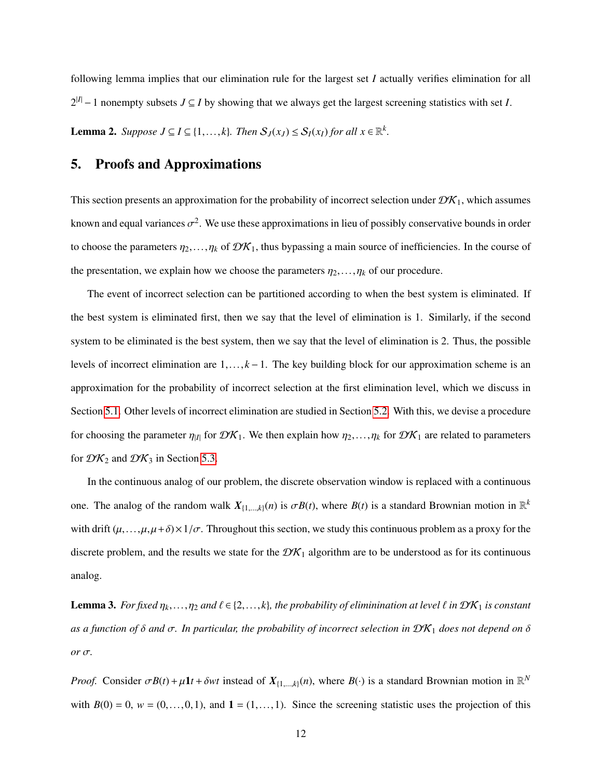<span id="page-11-2"></span>following lemma implies that our elimination rule for the largest set *I* actually verifies elimination for all  $2^{|I|} - 1$  nonempty subsets  $J \subseteq I$  by showing that we always get the largest screening statistics with set *I*. **Lemma 2.** Suppose  $J \subseteq I \subseteq \{1, ..., k\}$ . Then  $S_J(x_J) \leq S_I(x_I)$  for all  $x \in \mathbb{R}^k$ .

## <span id="page-11-0"></span>5. Proofs and Approximations

This section presents an approximation for the probability of incorrect selection under  $\mathcal{D}K_1$ , which assumes known and equal variances  $\sigma^2$ . We use these approximations in lieu of possibly conservative bounds in order to choose the parameters  $\eta_2, \ldots, \eta_k$  of  $\mathcal{DK}_1$ , thus bypassing a main source of inefficiencies. In the course of the presentation, we explain how we choose the parameters  $\eta_2, \ldots, \eta_k$  of our procedure.

The event of incorrect selection can be partitioned according to when the best system is eliminated. If the best system is eliminated first, then we say that the level of elimination is 1. Similarly, if the second system to be eliminated is the best system, then we say that the level of elimination is 2. Thus, the possible levels of incorrect elimination are <sup>1</sup>,..., *<sup>k</sup>* <sup>−</sup>1. The key building block for our approximation scheme is an approximation for the probability of incorrect selection at the first elimination level, which we discuss in Section [5.1.](#page-12-0) Other levels of incorrect elimination are studied in Section [5.2.](#page-18-0) With this, we devise a procedure for choosing the parameter  $\eta_{|I|}$  for  $\mathcal{DK}_1$ . We then explain how  $\eta_2,\ldots,\eta_k$  for  $\mathcal{DK}_1$  are related to parameters for  $\mathcal{DK}_2$  and  $\mathcal{DK}_3$  in Section [5.3.](#page-22-0)

In the continuous analog of our problem, the discrete observation window is replaced with a continuous one. The analog of the random walk  $X_{\{1,\ldots,k\}}(n)$  is  $\sigma B(t)$ , where  $B(t)$  is a standard Brownian motion in  $\mathbb{R}^k$ with drift  $(\mu, \ldots, \mu, \mu + \delta) \times 1/\sigma$ . Throughout this section, we study this continuous problem as a proxy for the discrete problem, and the results we state for the  $\mathcal{DK}_1$  algorithm are to be understood as for its continuous analog.

<span id="page-11-1"></span>**Lemma 3.** *For fixed*  $\eta_k, \ldots, \eta_2$  *and*  $\ell \in \{2, \ldots, k\}$ *, the probability of eliminination at level*  $\ell$  *in*  $\mathcal{DK}_1$  *is constant as a function of* <sup>δ</sup> *and* <sup>σ</sup>*. In particular, the probability of incorrect selection in* DK<sup>1</sup> *does not depend on* <sup>δ</sup> *or* σ*.*

*Proof.* Consider  $\sigma B(t) + \mu I t + \delta wt$  instead of  $X_{\{1,\dots,k\}}(n)$ , where  $B(\cdot)$  is a standard Brownian motion in  $\mathbb{R}^N$ with  $B(0) = 0$ ,  $w = (0, \ldots, 0, 1)$ , and  $1 = (1, \ldots, 1)$ . Since the screening statistic uses the projection of this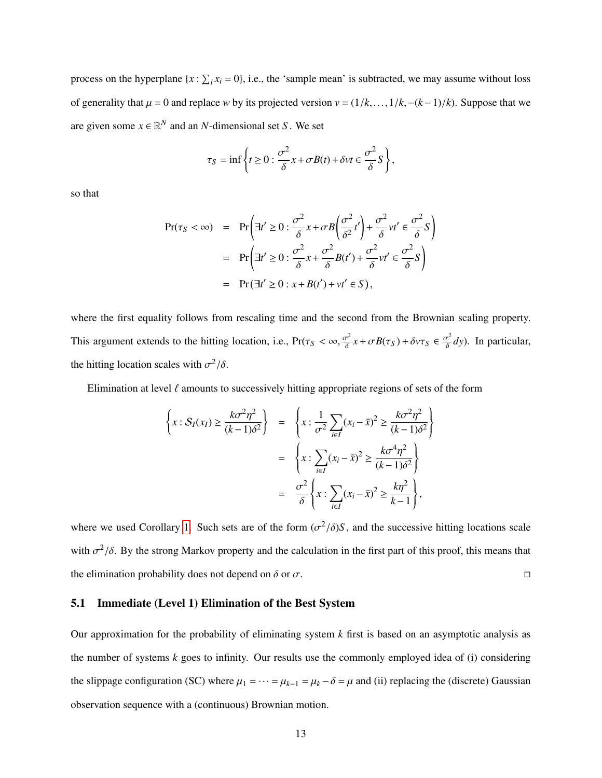process on the hyperplane  $\{x : \sum_i x_i = 0\}$ , i.e., the 'sample mean' is subtracted, we may assume without loss of generality that  $\mu = 0$  and replace *w* by its projected version  $v = (1/k, \ldots, 1/k, -(k-1)/k)$ . Suppose that we are given some  $x \in \mathbb{R}^N$  and an *N*-dimensional set *S*. We set

$$
\tau_S = \inf \left\{ t \ge 0 : \frac{\sigma^2}{\delta} x + \sigma B(t) + \delta v t \in \frac{\sigma^2}{\delta} S \right\},\
$$

so that

$$
Pr(\tau_S < \infty) = Pr\left(\exists t' \ge 0 : \frac{\sigma^2}{\delta} x + \sigma B \left(\frac{\sigma^2}{\delta^2} t'\right) + \frac{\sigma^2}{\delta} vt' \in \frac{\sigma^2}{\delta} S\right)
$$
  
=  $Pr\left(\exists t' \ge 0 : \frac{\sigma^2}{\delta} x + \frac{\sigma^2}{\delta} B(t') + \frac{\sigma^2}{\delta} vt' \in \frac{\sigma^2}{\delta} S\right)$   
=  $Pr(\exists t' \ge 0 : x + B(t') + vt' \in S),$ 

where the first equality follows from rescaling time and the second from the Brownian scaling property. This argument extends to the hitting location, i.e.,  $Pr(\tau_S < \infty, \frac{\sigma^2}{\delta})$  $\frac{\sigma^2}{\delta} x + \sigma B(\tau_S) + \delta v \tau_S \in \frac{\sigma^2}{\delta}$ *dy*). In particular, the hitting location scales with  $\sigma^2/\delta$ .

Elimination at level  $\ell$  amounts to successively hitting appropriate regions of sets of the form

$$
\left\{ x : \mathcal{S}_I(x_I) \ge \frac{k\sigma^2 \eta^2}{(k-1)\delta^2} \right\} = \left\{ x : \frac{1}{\sigma^2} \sum_{i \in I} (x_i - \bar{x})^2 \ge \frac{k\sigma^2 \eta^2}{(k-1)\delta^2} \right\}
$$

$$
= \left\{ x : \sum_{i \in I} (x_i - \bar{x})^2 \ge \frac{k\sigma^4 \eta^2}{(k-1)\delta^2} \right\}
$$

$$
= \frac{\sigma^2}{\delta} \left\{ x : \sum_{i \in I} (x_i - \bar{x})^2 \ge \frac{k\eta^2}{k-1} \right\},
$$

where we used Corollary [1.](#page-10-0) Such sets are of the form  $(\sigma^2/\delta)S$ , and the successive hitting locations scale with  $\sigma^2/\delta$ . By the strong Markov property and the calculation in the first part of this proof, this means that the elimination probability does not depend on  $\delta$  or  $\sigma$ .

#### <span id="page-12-0"></span>5.1 Immediate (Level 1) Elimination of the Best System

Our approximation for the probability of eliminating system *k* first is based on an asymptotic analysis as the number of systems  $k$  goes to infinity. Our results use the commonly employed idea of (i) considering the slippage configuration (SC) where  $\mu_1 = \cdots = \mu_{k-1} = \mu_k - \delta = \mu$  and (ii) replacing the (discrete) Gaussian observation sequence with a (continuous) Brownian motion.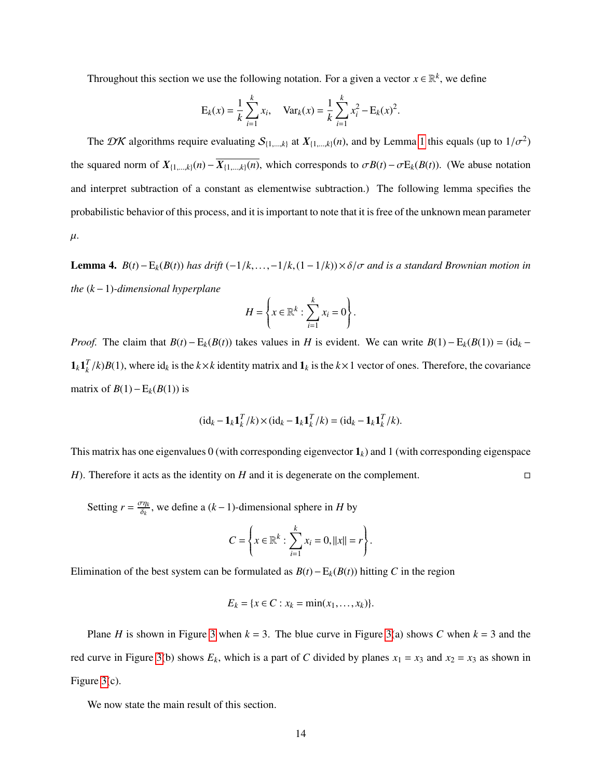Throughout this section we use the following notation. For a given a vector  $x \in \mathbb{R}^k$ , we define

$$
E_k(x) = \frac{1}{k} \sum_{i=1}^k x_i
$$
,  $Var_k(x) = \frac{1}{k} \sum_{i=1}^k x_i^2 - E_k(x)^2$ .

The DK algorithms require evaluating  $S_{\{1,\dots,k\}}$  at  $X_{\{1,\dots,k\}}(n)$ , and by Lemma [1](#page-9-0) this equals (up to  $1/\sigma^2$ ) the squared norm of  $X_{\{1,\ldots,k\}}(n) - \overline{X_{\{1,\ldots,k\}}(n)}$ , which corresponds to  $\sigma B(t) - \sigma E_k(B(t))$ . (We abuse notation and interpret subtraction of a constant as elementwise subtraction.) The following lemma specifies the probabilistic behavior of this process, and it is important to note that it is free of the unknown mean parameter  $\mu$ .

Lemma 4. *<sup>B</sup>*(*t*)−E*k*(*B*(*t*)) *has drift* (−1/*k*,...,−1/*k*,(1−1/*k*))×δ/σ *and is a standard Brownian motion in the* (*k*−1)*-dimensional hyperplane*

$$
H = \left\{ x \in \mathbb{R}^k : \sum_{i=1}^k x_i = 0 \right\}.
$$

*Proof.* The claim that  $B(t) - E_k(B(t))$  takes values in *H* is evident. We can write  $B(1) - E_k(B(1)) = (\mathrm{id}_k - E_k(B(t)))$  $\mathbf{1}_k \mathbf{1}_k^T/k$  *B*(1), where id<sub>k</sub> is the  $k \times k$  identity matrix and  $\mathbf{1}_k$  is the  $k \times 1$  vector of ones. Therefore, the covariance matrix of *B*(1)−E<sub>*k*</sub>(*B*(1)) is

$$
(\mathrm{id}_k - \mathbf{1}_k \mathbf{1}_k^T / k) \times (\mathrm{id}_k - \mathbf{1}_k \mathbf{1}_k^T / k) = (\mathrm{id}_k - \mathbf{1}_k \mathbf{1}_k^T / k).
$$

This matrix has one eigenvalues 0 (with corresponding eigenvector  $\mathbf{1}_k$ ) and 1 (with corresponding eigenspace *H*). Therefore it acts as the identity on *H* and it is degenerate on the complement. □

Setting  $r = \frac{\sigma \eta_k}{\delta_l}$ δ*k* , we define a (*k*−1)-dimensional sphere in *H* by

$$
C = \left\{ x \in \mathbb{R}^k : \sum_{i=1}^k x_i = 0, ||x|| = r \right\}.
$$

Elimination of the best system can be formulated as  $B(t) - E_k(B(t))$  hitting *C* in the region

$$
E_k = \{x \in C : x_k = \min(x_1, \dots, x_k)\}.
$$

Plane *H* is shown in Figure [3](#page-14-0) when  $k = 3$ . The blue curve in Figure [3\(](#page-14-0)a) shows *C* when  $k = 3$  and the red curve in Figure [3\(](#page-14-0)b) shows  $E_k$ , which is a part of *C* divided by planes  $x_1 = x_3$  and  $x_2 = x_3$  as shown in Figure [3\(](#page-14-0)c).

We now state the main result of this section.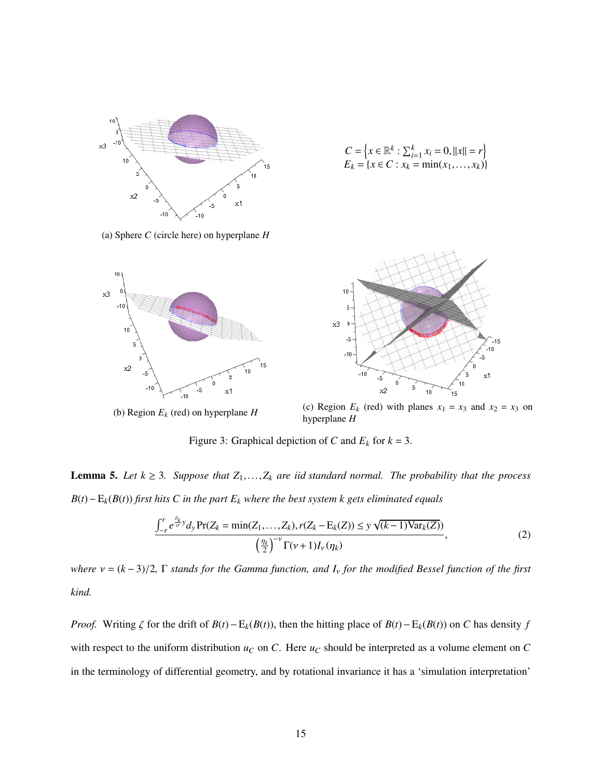<span id="page-14-0"></span>

$$
C = \left\{ x \in \mathbb{R}^k : \sum_{i=1}^k x_i = 0, ||x|| = r \right\}
$$
  

$$
E_k = \left\{ x \in C : x_k = \min(x_1, \dots, x_k) \right\}
$$





(b) Region *E<sup>k</sup>* (red) on hyperplane *H*



(c) Region  $E_k$  (red) with planes  $x_1 = x_3$  and  $x_2 = x_3$  on hyperplane *H*

Figure 3: Graphical depiction of *C* and  $E_k$  for  $k = 3$ .

**Lemma 5.** Let  $k \geq 3$ . Suppose that  $Z_1, \ldots, Z_k$  are iid standard normal. The probability that the process *B*(*t*)−E*k*(*B*(*t*)) *first hits C in the part E<sup>k</sup> where the best system k gets eliminated equals*

<span id="page-14-1"></span>
$$
\frac{\int_{-r}^{r} e^{\frac{\delta_{k}}{\sigma} y} d_{y} \Pr(Z_{k} = \min(Z_{1}, ..., Z_{k}), r(Z_{k} - E_{k}(Z)) \le y \sqrt{(k-1) \text{Var}_{k}(Z)})}{\left(\frac{\eta_{k}}{2}\right)^{-\nu} \Gamma(\nu + 1) I_{\nu}(\eta_{k})},
$$
\n(2)

*where* <sup>ν</sup> <sup>=</sup> (*<sup>k</sup>* <sup>−</sup> 3)/2*,* <sup>Γ</sup> *stands for the Gamma function, and <sup>I</sup>*ν *for the modified Bessel function of the first kind.*

*Proof.* Writing  $\zeta$  for the drift of  $B(t) - E_k(B(t))$ , then the hitting place of  $B(t) - E_k(B(t))$  on *C* has density *f* with respect to the uniform distribution  $u_C$  on *C*. Here  $u_C$  should be interpreted as a volume element on *C* in the terminology of differential geometry, and by rotational invariance it has a 'simulation interpretation'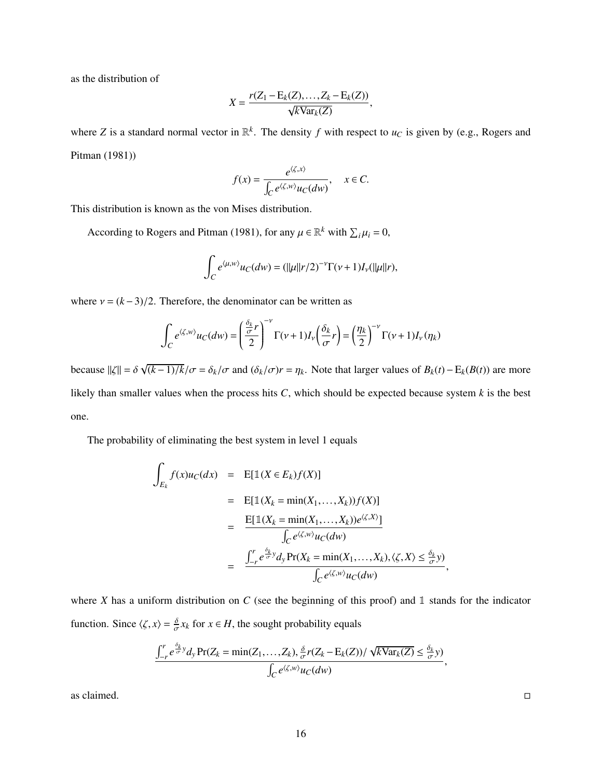as the distribution of

$$
X = \frac{r(Z_1 - \mathrm{E}_k(Z), \dots, Z_k - \mathrm{E}_k(Z))}{\sqrt{k \mathrm{Var}_k(Z)}},
$$

where Z is a standard normal vector in  $\mathbb{R}^k$ . The density f with respect to  $u_C$  is given by (e.g., Rogers and Pitman (1981))

$$
f(x) = \frac{e^{\langle \zeta, x \rangle}}{\int_C e^{\langle \zeta, w \rangle} u_C(dw)}, \quad x \in C.
$$

This distribution is known as the von Mises distribution.

According to Rogers and Pitman (1981), for any  $\mu \in \mathbb{R}^k$  with  $\sum_i \mu_i = 0$ ,

$$
\int_C e^{\langle \mu, w \rangle} u_C(dw) = (||\mu||r/2)^{-\nu} \Gamma(\nu+1) I_{\nu}(||\mu||r),
$$

where  $v = (k-3)/2$ . Therefore, the denominator can be written as

$$
\int_C e^{\langle \zeta, w \rangle} u_C(dw) = \left(\frac{\frac{\delta_k}{\sigma}r}{2}\right)^{-\nu} \Gamma(\nu+1) I_{\nu}\left(\frac{\delta_k}{\sigma}r\right) = \left(\frac{\eta_k}{2}\right)^{-\nu} \Gamma(\nu+1) I_{\nu}(\eta_k)
$$

because  $\|\zeta\| = \delta$ √ (*k*−1)/*k*/σ <sup>=</sup> δ*k*/σ and (δ*k*/σ)*<sup>r</sup>* <sup>=</sup> η*k*. Note that larger values of *<sup>B</sup>k*(*t*)−E*k*(*B*(*t*)) are more likely than smaller values when the process hits *C*, which should be expected because system *k* is the best one.

The probability of eliminating the best system in level 1 equals

$$
\int_{E_k} f(x)u_C(dx) = \mathbb{E}[\mathbb{1}(X \in E_k)f(X)]
$$
\n
$$
= \mathbb{E}[\mathbb{1}(X_k = \min(X_1, \dots, X_k))f(X)]
$$
\n
$$
= \frac{\mathbb{E}[\mathbb{1}(X_k = \min(X_1, \dots, X_k))e^{\langle \zeta, X \rangle}]}{\int_C e^{\langle \zeta, w \rangle}u_C(dw)}
$$
\n
$$
= \frac{\int_{-r}^{r} e^{\frac{\delta_k}{\sigma} y} dy \Pr(X_k = \min(X_1, \dots, X_k), \langle \zeta, X \rangle \le \frac{\delta_k}{\sigma} y)}{\int_C e^{\langle \zeta, w \rangle}u_C(dw)},
$$

where *X* has a uniform distribution on *C* (see the beginning of this proof) and 1 stands for the indicator function. Since  $\langle \zeta, x \rangle = \frac{\delta}{\sigma} x_k$  for  $x \in H$ , the sought probability equals

$$
\frac{\int_{-r}^{r} e^{\frac{\delta_k}{\sigma} y} dy \Pr(Z_k = \min(Z_1, \dots, Z_k), \frac{\delta}{\sigma} r(Z_k - E_k(Z)) / \sqrt{k \text{Var}_k(Z)} \le \frac{\delta_k}{\sigma} y)}{\int_C e^{\langle \zeta, w \rangle} u_C(dw)}
$$

as claimed.  $\Box$ 

,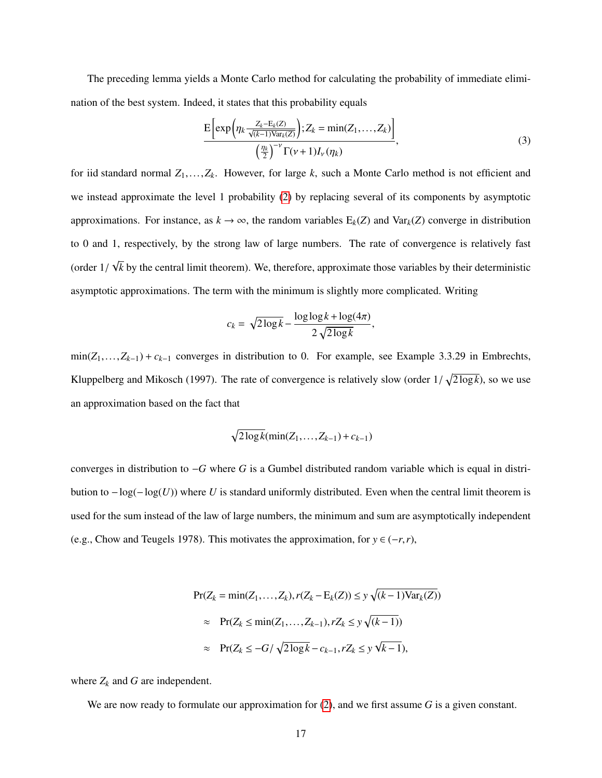The preceding lemma yields a Monte Carlo method for calculating the probability of immediate elimination of the best system. Indeed, it states that this probability equals

<span id="page-16-0"></span>
$$
\frac{\mathrm{E}\left[\exp\left(\eta_k \frac{Z_k - \mathrm{E}_k(Z)}{\sqrt{(k-1)\mathrm{Var}_k(Z)}}\right); Z_k = \min(Z_1, \dots, Z_k)\right]}{\left(\frac{\eta_k}{2}\right)^{-\nu} \Gamma(\nu+1) I_{\nu}(\eta_k)},\tag{3}
$$

,

for iid standard normal *<sup>Z</sup>*1,...,*Zk*. However, for large *<sup>k</sup>*, such a Monte Carlo method is not efficient and we instead approximate the level 1 probability [\(2\)](#page-14-1) by replacing several of its components by asymptotic approximations. For instance, as  $k \to \infty$ , the random variables  $E_k(Z)$  and Var<sub>k</sub> $(Z)$  converge in distribution to 0 and 1, respectively, by the strong law of large numbers. The rate of convergence is relatively fast (order <sup>1</sup>/ √ *k* by the central limit theorem). We, therefore, approximate those variables by their deterministic asymptotic approximations. The term with the minimum is slightly more complicated. Writing

$$
c_k = \sqrt{2\log k} - \frac{\log \log k + \log(4\pi)}{2\sqrt{2\log k}}
$$

min(*Z*1,...,*Zk*−1) <sup>+</sup> *<sup>c</sup>k*−<sup>1</sup> converges in distribution to 0. For example, see Example 3.3.29 in Embrechts, Kluppelberg and Mikosch (1997). The rate of convergence is relatively slow (order  $1/\sqrt{2 \log k}$ ), so we use an approximation based on the fact that

$$
\sqrt{2\log k}(\min(Z_1,\ldots,Z_{k-1})+c_{k-1})
$$

converges in distribution to −*G* where *G* is a Gumbel distributed random variable which is equal in distribution to −log(−log(*U*)) where *U* is standard uniformly distributed. Even when the central limit theorem is used for the sum instead of the law of large numbers, the minimum and sum are asymptotically independent (e.g., Chow and Teugels 1978). This motivates the approximation, for  $y \in (-r, r)$ ,

$$
\Pr(Z_k = \min(Z_1, ..., Z_k), r(Z_k - E_k(Z)) \le y \sqrt{(k-1)\text{Var}_k(Z)})
$$
  
\n
$$
\approx \Pr(Z_k \le \min(Z_1, ..., Z_{k-1}), rZ_k \le y \sqrt{(k-1)})
$$
  
\n
$$
\approx \Pr(Z_k \le -G/\sqrt{2\log k} - c_{k-1}, rZ_k \le y \sqrt{k-1}),
$$

where  $Z_k$  and  $G$  are independent.

We are now ready to formulate our approximation for [\(2\)](#page-14-1), and we first assume *G* is a given constant.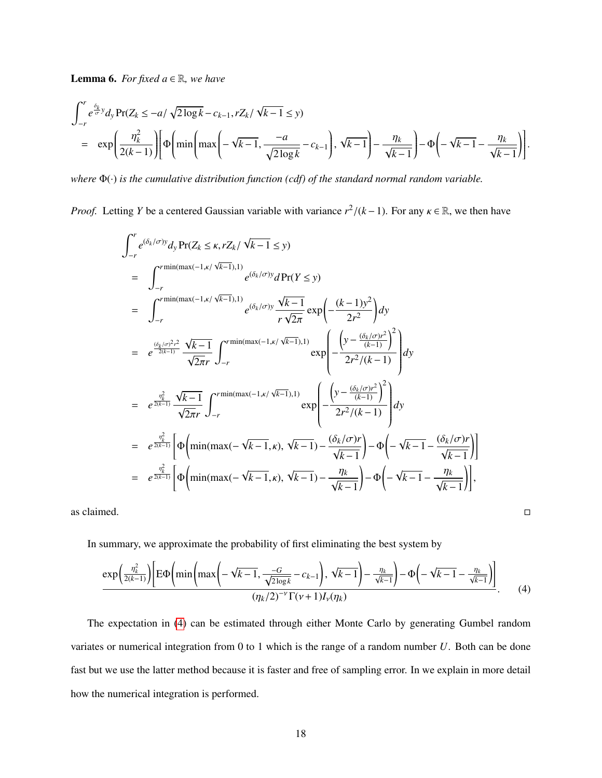**Lemma 6.** *For fixed*  $a \in \mathbb{R}$ *, we have* 

$$
\int_{-r}^{r} e^{\frac{\delta_k}{\sigma} y} dy \Pr(Z_k \le -a/\sqrt{2\log k} - c_{k-1}, rZ_k/\sqrt{k-1} \le y)
$$
\n
$$
= \exp\left(\frac{\eta_k^2}{2(k-1)}\right) \left[ \Phi\left(\min\left(\max\left(-\sqrt{k-1}, \frac{-a}{\sqrt{2\log k}} - c_{k-1}\right), \sqrt{k-1}\right) - \frac{\eta_k}{\sqrt{k-1}}\right) - \Phi\left(-\sqrt{k-1} - \frac{\eta_k}{\sqrt{k-1}}\right) \right].
$$

*where* Φ(·) *is the cumulative distribution function (cdf) of the standard normal random variable.*

*Proof.* Letting *Y* be a centered Gaussian variable with variance  $r^2/(k-1)$ . For any  $\kappa \in \mathbb{R}$ , we then have

$$
\int_{-r}^{r} e^{(\delta_{k}/\sigma)y} dy \Pr(Z_{k} \leq \kappa, rZ_{k}/\sqrt{k-1} \leq y)
$$
\n
$$
= \int_{-r}^{r \min(\max(-1,\kappa/\sqrt{k-1}),1)} e^{(\delta_{k}/\sigma)y} dPr(Y \leq y)
$$
\n
$$
= \int_{-r}^{r \min(\max(-1,\kappa/\sqrt{k-1}),1)} e^{(\delta_{k}/\sigma)y} \frac{\sqrt{k-1}}{r\sqrt{2\pi}} \exp\left(-\frac{(k-1)y^{2}}{2r^{2}}\right) dy
$$
\n
$$
= e^{\frac{(\delta_{k}/\sigma)^{2}r^{2}}{2(k-1)}} \frac{\sqrt{k-1}}{\sqrt{2\pi}r} \int_{-r}^{r \min(\max(-1,\kappa/\sqrt{k-1}),1)} \exp\left(-\frac{\left(y - \frac{(\delta_{k}/\sigma)r^{2}}{(k-1)}\right)^{2}}{2r^{2}/(k-1)}\right) dy
$$
\n
$$
= e^{\frac{\eta_{k}^{2}}{2(k-1)}} \frac{\sqrt{k-1}}{\sqrt{2\pi}r} \int_{-r}^{r \min(\max(-1,\kappa/\sqrt{k-1}),1)} \exp\left(-\frac{\left(y - \frac{(\delta_{k}/\sigma)r^{2}}{(k-1)}\right)^{2}}{2r^{2}/(k-1)}\right) dy
$$
\n
$$
= e^{\frac{\eta_{k}^{2}}{2(k-1)}} \left[\Phi\left(\min(\max(-\sqrt{k-1},\kappa),\sqrt{k-1}) - \frac{(\delta_{k}/\sigma)r}{\sqrt{k-1}}\right) - \Phi\left(-\sqrt{k-1} - \frac{(\delta_{k}/\sigma)r}{\sqrt{k-1}}\right)\right]
$$
\n
$$
= e^{\frac{\eta_{k}^{2}}{2(k-1)}} \left[\Phi\left(\min(\max(-\sqrt{k-1},\kappa),\sqrt{k-1}) - \frac{\eta_{k}}{\sqrt{k-1}}\right) - \Phi\left(-\sqrt{k-1} - \frac{\eta_{k}}{\sqrt{k-1}}\right)\right],
$$

as claimed.  $\Box$ 

In summary, we approximate the probability of first eliminating the best system by

<span id="page-17-0"></span>
$$
\frac{\exp\left(\frac{\eta_k^2}{2(k-1)}\right)\left[\mathrm{E}\Phi\left(\min\left(\max\left(-\sqrt{k-1},\frac{-G}{\sqrt{2\log k}}-c_{k-1}\right),\sqrt{k-1}\right)-\frac{\eta_k}{\sqrt{k-1}}\right)-\Phi\left(-\sqrt{k-1}-\frac{\eta_k}{\sqrt{k-1}}\right)\right]}{(\eta_k/2)^{-\nu}\Gamma(\nu+1)I_{\nu}(\eta_k)}.\tag{4}
$$

The expectation in [\(4\)](#page-17-0) can be estimated through either Monte Carlo by generating Gumbel random variates or numerical integration from 0 to 1 which is the range of a random number *U*. Both can be done fast but we use the latter method because it is faster and free of sampling error. In we explain in more detail how the numerical integration is performed.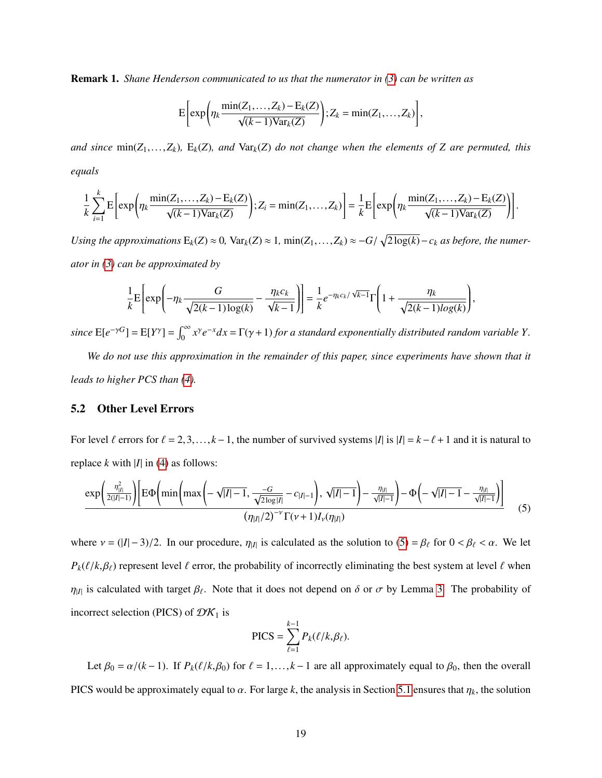Remark 1. *Shane Henderson communicated to us that the numerator in [\(3\)](#page-16-0) can be written as*

$$
E\bigg[\exp\bigg(\eta_k \frac{\min(Z_1,\ldots,Z_k)-E_k(Z)}{\sqrt{(k-1)\text{Var}_k(Z)}}\bigg); Z_k=\min(Z_1,\ldots,Z_k)\bigg],
$$

*and since*  $min(Z_1,...,Z_k)$ *,*  $E_k(Z)$ *, and*  $Var_k(Z)$  *do not change when the elements of Z are permuted, this equals*

$$
\frac{1}{k}\sum_{i=1}^k \mathrm{E}\bigg[\exp\bigg(\eta_k \frac{\min(Z_1,\ldots,Z_k)-\mathrm{E}_k(Z)}{\sqrt{(k-1)\mathrm{Var}_k(Z)}}\bigg); Z_i=\min(Z_1,\ldots,Z_k)\bigg] = \frac{1}{k}\mathrm{E}\bigg[\exp\bigg(\eta_k \frac{\min(Z_1,\ldots,Z_k)-\mathrm{E}_k(Z)}{\sqrt{(k-1)\mathrm{Var}_k(Z)}}\bigg)\bigg].
$$

*Using the approximations*  $E_k(Z) \approx 0$ ,  $Var_k(Z) \approx 1$ ,  $min(Z_1,...,Z_k) \approx -G/\sqrt{2\log(k)} - c_k$  *as before, the numerator in [\(3\)](#page-16-0) can be approximated by*

$$
\frac{1}{k} \mathbf{E} \left[ \exp \left( -\eta_k \frac{G}{\sqrt{2(k-1)\log(k)}} - \frac{\eta_k c_k}{\sqrt{k-1}} \right) \right] = \frac{1}{k} e^{-\eta_k c_k / \sqrt{k-1}} \Gamma \left( 1 + \frac{\eta_k}{\sqrt{2(k-1)\log(k)}} \right),
$$

*since*  $E[e^{-\gamma G}] = E[Y^{\gamma}] = \int_0^{\infty} x^{\gamma} e^{-x} dx = \Gamma(\gamma + 1)$  *for a standard exponentially distributed random variable Y*.

*We do not use this approximation in the remainder of this paper, since experiments have shown that it leads to higher PCS than [\(4\)](#page-17-0).*

#### <span id="page-18-0"></span>5.2 Other Level Errors

For level  $\ell$  errors for  $\ell = 2,3,..., k-1$ , the number of survived systems  $|I|$  is  $|I| = k - \ell + 1$  and it is natural to replace  $k$  with  $|I|$  in [\(4\)](#page-17-0) as follows:

<span id="page-18-1"></span>
$$
\frac{\exp\left(\frac{\eta_{|I|}^2}{2(|I|-1)}\right)\left[\mathrm{E}\Phi\left(\min\left(\max\left(-\sqrt{|I|-1},\frac{-G}{\sqrt{2\log|I|}}-c_{|I|-1}\right),\sqrt{|I|-1}\right)-\frac{\eta_{|I|}}{\sqrt{|I|-1}}\right)-\Phi\left(-\sqrt{|I|-1}-\frac{\eta_{|I|}}{\sqrt{|I|-1}}\right)\right]}{(\eta_{|I|}/2)^{-\nu}\Gamma(\nu+1)I_{\nu}(\eta_{|I|})} \tag{5}
$$

where  $v = (|I| - 3)/2$ . In our procedure,  $\eta_{|I|}$  is calculated as the solution to  $(5) = \beta_{\ell}$  $(5) = \beta_{\ell}$  for  $0 < \beta_{\ell} < \alpha$ . We let  $P_k(\ell/k, \beta_\ell)$  represent level  $\ell$  error, the probability of incorrectly eliminating the best system at level  $\ell$  when  $\eta_{|I|}$  is calculated with target  $\beta_{\ell}$ . Note that it does not depend on  $\delta$  or  $\sigma$  by Lemma [3.](#page-11-1) The probability of incorrect selection (PICS) of  $\mathcal{DK}_1$  is

$$
\text{PICS} = \sum_{\ell=1}^{k-1} P_k(\ell/k, \beta_\ell).
$$

Let  $\beta_0 = \alpha/(k-1)$ . If  $P_k(\ell/k, \beta_0)$  for  $\ell = 1, \ldots, k-1$  are all approximately equal to  $\beta_0$ , then the overall PICS would be approximately equal to  $\alpha$ . For large k, the analysis in Section [5.1](#page-12-0) ensures that  $\eta_k$ , the solution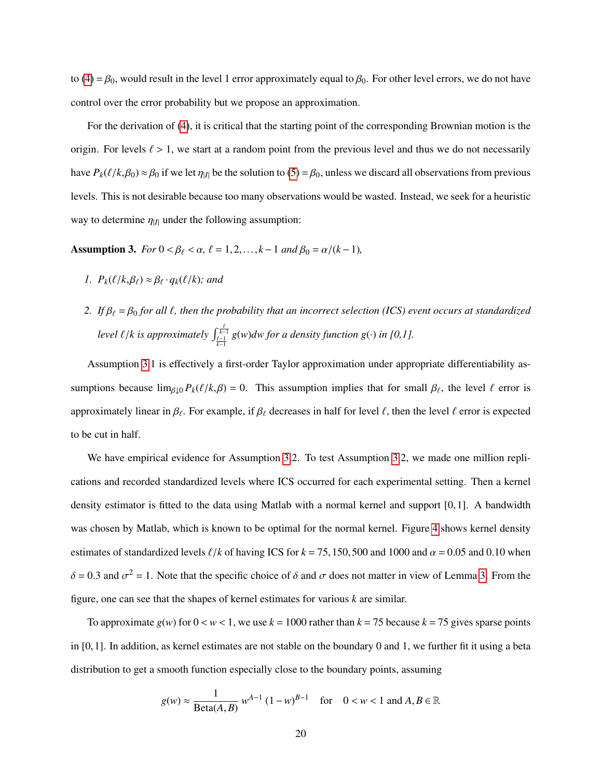to [\(4\)](#page-17-0) =  $\beta_0$ , would result in the level 1 error approximately equal to  $\beta_0$ . For other level errors, we do not have control over the error probability but we propose an approximation.

For the derivation of [\(4\)](#page-17-0), it is critical that the starting point of the corresponding Brownian motion is the origin. For levels  $\ell > 1$ , we start at a random point from the previous level and thus we do not necessarily have  $P_k(\ell/k, \beta_0) \approx \beta_0$  if we let  $\eta_{|I|}$  be the solution to [\(5\)](#page-18-1) =  $\beta_0$ , unless we discard all observations from previous levels. This is not desirable because too many observations would be wasted. Instead, we seek for a heuristic way to determine  $\eta_{|I|}$  under the following assumption:

<span id="page-19-0"></span>Assumption 3. *For*  $0 < \beta_\ell < \alpha$ ,  $\ell = 1, 2, ..., k-1$  *and*  $\beta_0 = \alpha/(k-1)$ *,* 

- *1.*  $P_k(\ell/k, \beta_\ell) \approx \beta_\ell \cdot q_k(\ell/k)$ ; and
- *2. If*  $\beta_\ell = \beta_0$  *for all*  $\ell$ *, then the probability that an incorrect selection (ICS) event occurs at standardized level*  $\ell/k$  *is approximately*  $\int_{\frac{\ell-1}{k-1}}^{\frac{\ell}{k-1}} g(w) dw$  *for a density function*  $g(\cdot)$  *in [0,1].*

Assumption [3.](#page-19-0)1 is effectively a first-order Taylor approximation under appropriate differentiability assumptions because  $\lim_{\beta\downarrow 0} P_k(\ell/k, \beta) = 0$ . This assumption implies that for small  $\beta_\ell$ , the level  $\ell$  error is approximately linear in  $\beta_\ell$ . For example, if  $\beta_\ell$  decreases in half for level  $\ell$ , then the level  $\ell$  error is expected to be cut in half.

We have empirical evidence for Assumption [3.](#page-19-0)2. To test Assumption [3.](#page-19-0)2, we made one million replications and recorded standardized levels where ICS occurred for each experimental setting. Then a kernel density estimator is fitted to the data using Matlab with a normal kernel and support [0,1]. A bandwidth was chosen by Matlab, which is known to be optimal for the normal kernel. Figure [4](#page-20-0) shows kernel density estimates of standardized levels  $\ell/k$  of having ICS for  $k = 75,150,500$  and 1000 and  $\alpha = 0.05$  and 0.10 when  $\delta$  = 0.3 and  $\sigma^2$  = 1. Note that the specific choice of  $\delta$  and  $\sigma$  does not matter in view of Lemma [3.](#page-11-1) From the figure, one can see that the shapes of kernel estimates for various *k* are similar.

To approximate  $g(w)$  for  $0 < w < 1$ , we use  $k = 1000$  rather than  $k = 75$  because  $k = 75$  gives sparse points in [0,1]. In addition, as kernel estimates are not stable on the boundary 0 and 1, we further fit it using a beta distribution to get a smooth function especially close to the boundary points, assuming

$$
g(w) \approx \frac{1}{\text{Beta}(A, B)} w^{A-1} (1 - w)^{B-1}
$$
 for  $0 < w < 1$  and  $A, B \in \mathbb{R}$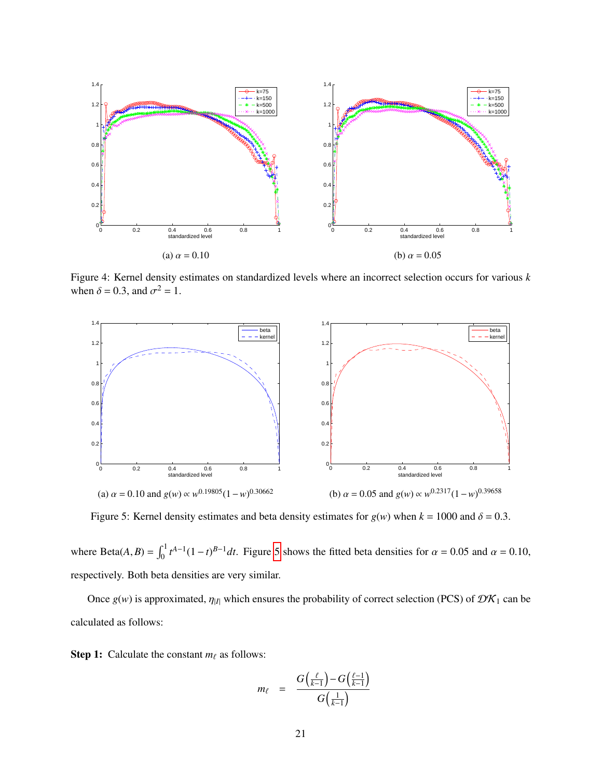<span id="page-20-0"></span>

Figure 4: Kernel density estimates on standardized levels where an incorrect selection occurs for various *k* when  $\delta = 0.3$ , and  $\sigma^2 = 1$ .

<span id="page-20-1"></span>

Figure 5: Kernel density estimates and beta density estimates for  $g(w)$  when  $k = 1000$  and  $\delta = 0.3$ .

where Beta $(A, B) = \int_0^1 t^{A-1} (1-t)^{B-1} dt$ . Figure [5](#page-20-1) shows the fitted beta densities for  $\alpha = 0.05$  and  $\alpha = 0.10$ , respectively. Both beta densities are very similar.

Once  $g(w)$  is approximated,  $\eta_{|I|}$  which ensures the probability of correct selection (PCS) of  $\mathcal{DK}_1$  can be calculated as follows:

**Step 1:** Calculate the constant  $m_\ell$  as follows:

$$
m_{\ell} = \frac{G\left(\frac{\ell}{k-1}\right) - G\left(\frac{\ell-1}{k-1}\right)}{G\left(\frac{1}{k-1}\right)}
$$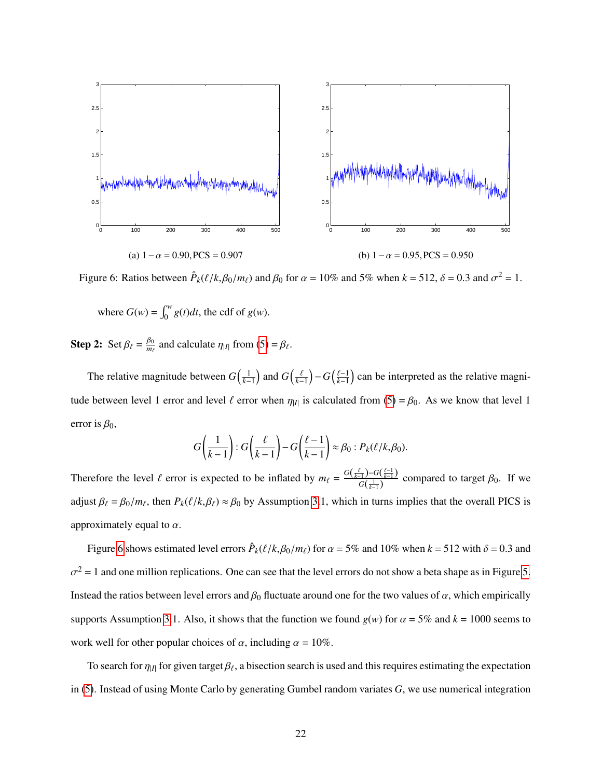<span id="page-21-0"></span>

Figure 6: Ratios between  $\hat{P}_k(\ell/k, \beta_0/m_\ell)$  and  $\beta_0$  for  $\alpha = 10\%$  and 5% when  $k = 512$ ,  $\delta = 0.3$  and  $\sigma^2 = 1$ .

where  $G(w) = \int_0^w g(t)dt$ , the cdf of  $g(w)$ .

**Step 2:** Set  $\beta_{\ell} = \frac{\beta_0}{m_{\ell}}$  and calculate  $\eta_{|I|}$  from [\(5\)](#page-18-1) =  $\beta_{\ell}$ .

The relative magnitude between  $G(\frac{1}{k-1})$  and  $G(\frac{\ell}{k-1}) - G(\frac{\ell-1}{k-1})$  can be interpreted as the relative magnitude between level 1 error and level  $\ell$  error when  $\eta_{|I|}$  is calculated from [\(5\)](#page-18-1) =  $\beta_0$ . As we know that level 1 error is  $\beta_0$ ,

$$
G\left(\frac{1}{k-1}\right):G\left(\frac{\ell}{k-1}\right)-G\left(\frac{\ell-1}{k-1}\right)\approx\beta_0:P_k(\ell/k,\beta_0).
$$

Therefore the level  $\ell$  error is expected to be inflated by  $m_{\ell} = \frac{G(\frac{\ell}{k-1}) - G(\frac{\ell-1}{k-1})}{G(\frac{1}{k-1})}$  $\frac{(-1)^{j-1}}{G(\frac{1}{k-1})}$  compared to target  $\beta_0$ . If we adjust  $\beta_\ell = \beta_0/m_\ell$ , then  $P_k(\ell/k, \beta_\ell) \approx \beta_0$  by Assumption [3.](#page-19-0)1, which in turns implies that the overall PICS is approximately equal to  $\alpha$ .

Figure [6](#page-21-0) shows estimated level errors  $\hat{P}_k(\ell/k, \beta_0/m_\ell)$  for  $\alpha = 5\%$  and 10% when  $k = 512$  with  $\delta = 0.3$  and  $2 = 1$  and one million replications. One can see that the level errors do not show a beta shape as in Figure [5.](#page-20-1) Instead the ratios between level errors and  $\beta_0$  fluctuate around one for the two values of  $\alpha$ , which empirically supports Assumption [3.](#page-19-0)1. Also, it shows that the function we found  $g(w)$  for  $\alpha = 5\%$  and  $k = 1000$  seems to work well for other popular choices of  $\alpha$ , including  $\alpha = 10\%$ .

To search for  $\eta_{|I|}$  for given target  $\beta_{\ell}$ , a bisection search is used and this requires estimating the expectation in [\(5\)](#page-18-1). Instead of using Monte Carlo by generating Gumbel random variates *G*, we use numerical integration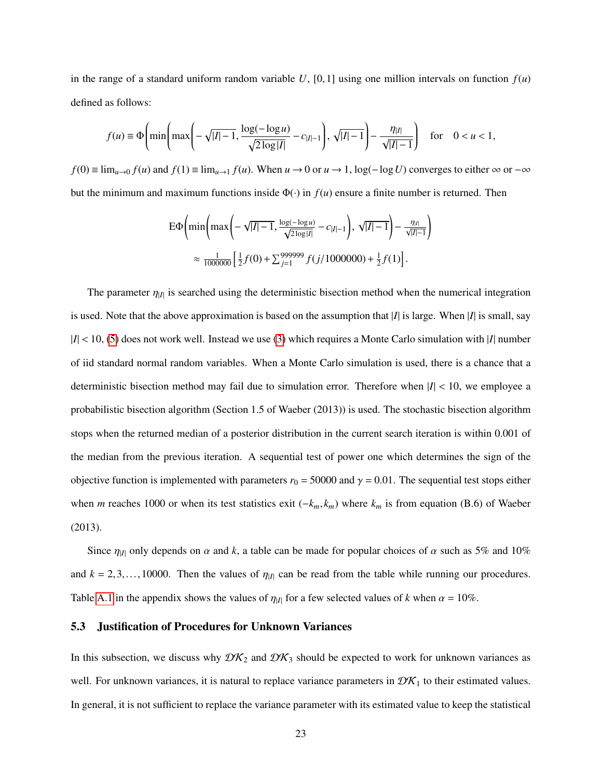in the range of a standard uniform random variable  $U$ , [0,1] using one million intervals on function  $f(u)$ defined as follows:

$$
f(u) \equiv \Phi\left(\min\left(\max\left(-\sqrt{|I|-1}, \frac{\log(-\log u)}{\sqrt{2\log|I|}} - c_{|I|-1}\right), \sqrt{|I|-1}\right) - \frac{\eta_{|I|}}{\sqrt{|I|-1}}\right) \text{ for } 0 < u < 1,
$$

*f*(0) ≡  $\lim_{u\to 0} f(u)$  and  $f(1)$  ≡  $\lim_{u\to 1} f(u)$ . When  $u\to 0$  or  $u\to 1$ , log( $-\log U$ ) converges to either ∞ or  $-\infty$ but the minimum and maximum functions inside  $\Phi(\cdot)$  in  $f(u)$  ensure a finite number is returned. Then

$$
\begin{split} \n\text{E}\Phi\bigg(\min\bigg(\max\bigg(-\sqrt{|I|-1},\frac{\log(-\log u)}{\sqrt{2\log|I|}}-c_{|I|-1}\bigg),\sqrt{|I|-1}\bigg)-\frac{\eta_{|I|}}{\sqrt{|I|-1}}\bigg) \\ \n&\approx \frac{1}{1000000}\bigg[\frac{1}{2}f(0)+\sum_{j=1}^{999999}f(j/1000000)+\frac{1}{2}f(1)\bigg]. \n\end{split}
$$

The parameter  $\eta_{|I|}$  is searched using the deterministic bisection method when the numerical integration is used. Note that the above approximation is based on the assumption that |*I*| is large. When |*I*| is small, say  $|I|$  < 10, [\(5\)](#page-18-1) does not work well. Instead we use [\(3\)](#page-16-0) which requires a Monte Carlo simulation with |*I*| number of iid standard normal random variables. When a Monte Carlo simulation is used, there is a chance that a deterministic bisection method may fail due to simulation error. Therefore when  $|I| < 10$ , we employee a probabilistic bisection algorithm (Section 1.5 of Waeber (2013)) is used. The stochastic bisection algorithm stops when the returned median of a posterior distribution in the current search iteration is within 0.001 of the median from the previous iteration. A sequential test of power one which determines the sign of the objective function is implemented with parameters  $r_0 = 50000$  and  $\gamma = 0.01$ . The sequential test stops either when *<sup>m</sup>* reaches 1000 or when its test statistics exit (−*km*, *<sup>k</sup>m*) where *<sup>k</sup><sup>m</sup>* is from equation (B.6) of Waeber (2013).

Since  $\eta_{|I|}$  only depends on  $\alpha$  and  $k$ , a table can be made for popular choices of  $\alpha$  such as 5% and 10% and  $k = 2,3,...,10000$ . Then the values of  $\eta_{|I|}$  can be read from the table while running our procedures. Table [A.1](#page-36-0) in the appendix shows the values of  $\eta_{|I|}$  for a few selected values of *k* when  $\alpha = 10\%$ .

#### <span id="page-22-0"></span>5.3 Justification of Procedures for Unknown Variances

In this subsection, we discuss why  $\mathcal{DK}_2$  and  $\mathcal{DK}_3$  should be expected to work for unknown variances as well. For unknown variances, it is natural to replace variance parameters in  $\mathcal{DK}_1$  to their estimated values. In general, it is not sufficient to replace the variance parameter with its estimated value to keep the statistical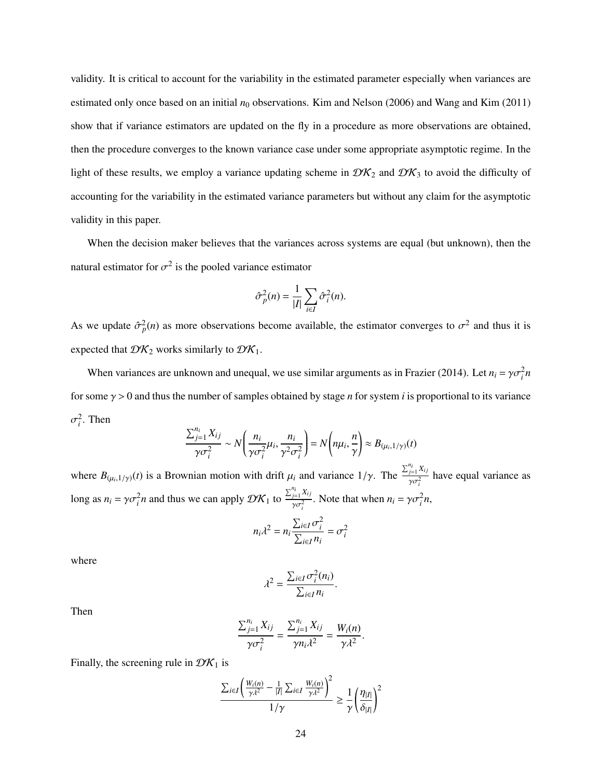validity. It is critical to account for the variability in the estimated parameter especially when variances are estimated only once based on an initial  $n_0$  observations. Kim and Nelson (2006) and Wang and Kim (2011) show that if variance estimators are updated on the fly in a procedure as more observations are obtained, then the procedure converges to the known variance case under some appropriate asymptotic regime. In the light of these results, we employ a variance updating scheme in  $\mathcal{DK}_2$  and  $\mathcal{DK}_3$  to avoid the difficulty of accounting for the variability in the estimated variance parameters but without any claim for the asymptotic validity in this paper.

When the decision maker believes that the variances across systems are equal (but unknown), then the natural estimator for  $\sigma^2$  is the pooled variance estimator

$$
\hat{\sigma}_p^2(n) = \frac{1}{|I|} \sum_{i \in I} \hat{\sigma}_i^2(n).
$$

As we update  $\hat{\sigma}_p^2(n)$  as more observations become available, the estimator converges to  $\sigma^2$  and thus it is expected that  $\mathcal{D}K_2$  works similarly to  $\mathcal{D}K_1$ .

When variances are unknown and unequal, we use similar arguments as in Frazier (2014). Let  $n_i = \gamma \sigma_i^2 n$ for some  $\gamma > 0$  and thus the number of samples obtained by stage *n* for system *i* is proportional to its variance  $\frac{2}{i}$ . Then

$$
\frac{\sum_{j=1}^{n_i} X_{ij}}{\gamma \sigma_i^2} \sim N\left(\frac{n_i}{\gamma \sigma_i^2} \mu_i, \frac{n_i}{\gamma^2 \sigma_i^2}\right) = N\left(n\mu_i, \frac{n}{\gamma}\right) \approx B_{(\mu_i, 1/\gamma)}(t)
$$

where  $B_{(\mu_i,1/\gamma)}(t)$  is a Brownian motion with drift  $\mu_i$  and variance  $1/\gamma$ . The  $\sum_{j=1}^{n_i} X_{ij}$  $\frac{j=1,2,3,3}{\gamma \sigma_i^2}$  have equal variance as long as  $n_i = \gamma \sigma_i^2 n$  and thus we can apply  $\mathcal{D}K_1$  to  $\sum_{j=1}^{n_i} X_{ij}$  $\int \frac{y_i - \lambda_{ij}}{\gamma \sigma_i^2}$ . Note that when  $n_i = \gamma \sigma_i^2 n$ ,

$$
n_i \lambda^2 = n_i \frac{\sum_{i \in I} \sigma_i^2}{\sum_{i \in I} n_i} = \sigma_i^2
$$

where

$$
\lambda^2 = \frac{\sum_{i \in I} \sigma_i^2(n_i)}{\sum_{i \in I} n_i}.
$$

Then

$$
\frac{\sum_{j=1}^{n_i} X_{ij}}{\gamma \sigma_i^2} = \frac{\sum_{j=1}^{n_i} X_{ij}}{\gamma n_i \lambda^2} = \frac{W_i(n)}{\gamma \lambda^2}.
$$

Finally, the screening rule in  $\mathcal{D}K_1$  is

$$
\frac{\sum_{i\in I}\left(\frac{W_i(n)}{\gamma\lambda^2}-\frac{1}{|I|}\sum_{i\in I}\frac{W_i(n)}{\gamma\lambda^2}\right)^2}{1/\gamma}\geq \frac{1}{\gamma}\left(\frac{\eta_{|I|}}{\delta_{|I|}}\right)^2
$$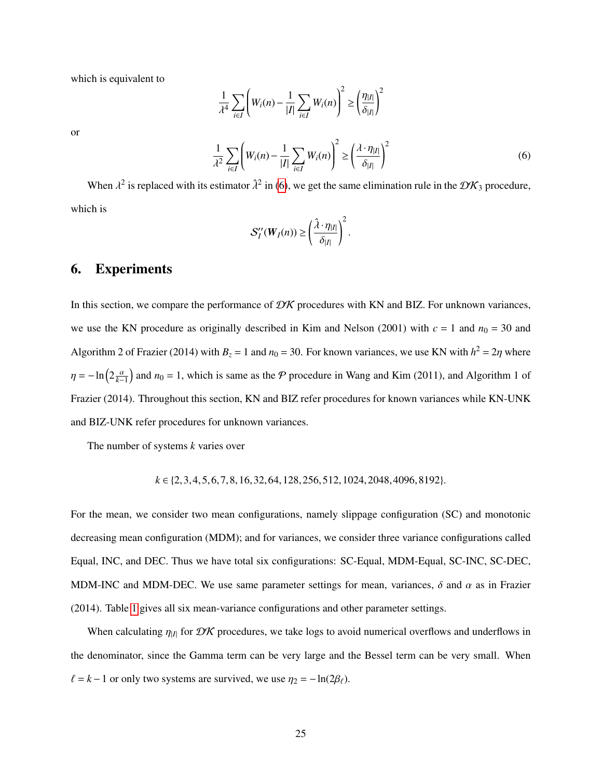which is equivalent to

or

$$
\frac{1}{\lambda^4} \sum_{i \in I} \left( W_i(n) - \frac{1}{|I|} \sum_{i \in I} W_i(n) \right)^2 \ge \left( \frac{\eta_{|I|}}{\delta_{|I|}} \right)^2
$$
\n
$$
\frac{1}{\lambda^2} \sum_{i \in I} \left( W_i(n) - \frac{1}{|I|} \sum_{i \in I} W_i(n) \right)^2 \ge \left( \frac{\lambda \cdot \eta_{|I|}}{\delta_{|I|}} \right)^2
$$
\n(6)

When  $\lambda^2$  is replaced with its estimator  $\hat{\lambda}^2$  in [\(6\)](#page-24-1), we get the same elimination rule in the  $\mathcal{DK}_3$  procedure, which is

<span id="page-24-1"></span>1

$$
S_I''(W_I(n)) \geq \left(\frac{\hat{\lambda} \cdot \eta_{|I|}}{\delta_{|I|}}\right)^2.
$$

### <span id="page-24-0"></span>6. Experiments

In this section, we compare the performance of  $\mathcal{D}K$  procedures with KN and BIZ. For unknown variances, we use the KN procedure as originally described in Kim and Nelson (2001) with  $c = 1$  and  $n_0 = 30$  and Algorithm 2 of Frazier (2014) with  $B_z = 1$  and  $n_0 = 30$ . For known variances, we use KN with  $h^2 = 2\eta$  where  $\eta = -\ln(2\frac{\alpha}{k-1})$  and  $n_0 = 1$ , which is same as the P procedure in Wang and Kim (2011), and Algorithm 1 of Frazier (2014). Throughout this section, KN and BIZ refer procedures for known variances while KN-UNK and BIZ-UNK refer procedures for unknown variances.

The number of systems *k* varies over

$$
k \in \{2, 3, 4, 5, 6, 7, 8, 16, 32, 64, 128, 256, 512, 1024, 2048, 4096, 8192\}.
$$

For the mean, we consider two mean configurations, namely slippage configuration (SC) and monotonic decreasing mean configuration (MDM); and for variances, we consider three variance configurations called Equal, INC, and DEC. Thus we have total six configurations: SC-Equal, MDM-Equal, SC-INC, SC-DEC, MDM-INC and MDM-DEC. We use same parameter settings for mean, variances,  $\delta$  and  $\alpha$  as in Frazier (2014). Table [1](#page-25-0) gives all six mean-variance configurations and other parameter settings.

When calculating  $\eta_{|I|}$  for  $\mathcal{D}K$  procedures, we take logs to avoid numerical overflows and underflows in the denominator, since the Gamma term can be very large and the Bessel term can be very small. When  $\ell = k - 1$  or only two systems are survived, we use  $\eta_2 = -\ln(2\beta_\ell)$ .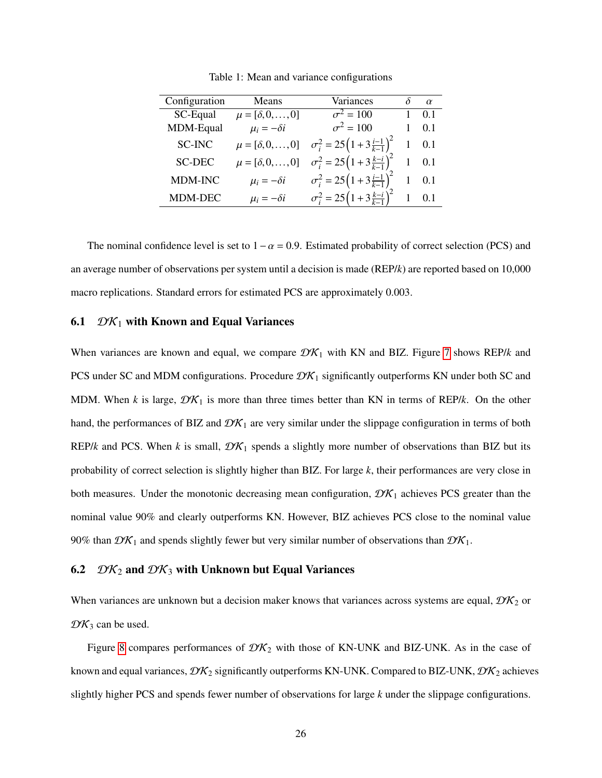<span id="page-25-0"></span>

| Configuration | Means                          | Variances                                          | $\alpha$ |
|---------------|--------------------------------|----------------------------------------------------|----------|
| SC-Equal      | $\mu = [\delta, 0, , 0]$       | $\sigma^2 = 100$                                   | 0.1      |
| MDM-Equal     | $\mu_i = -\delta i$            | $\sigma^2 = 100$                                   | 0.1      |
| <b>SC-INC</b> | $\mu = [\delta, 0, \ldots, 0]$ | $\sigma_i^2 = 25\left(1+3\frac{i-1}{k-1}\right)^2$ | 0.1      |
| <b>SC-DEC</b> | $\mu = [\delta, 0, \ldots, 0]$ | $\sigma_i^2 = 25(1+3\frac{k-i}{k-1})^2$            | 0.1      |
| MDM-INC       | $\mu_i = -\delta i$            | $\sigma_i^2 = 25(1+3\frac{i-1}{k-1})^2$            | 0.1      |
| MDM-DEC       | $\mu_i = -\delta i$            | $\sigma_i^2 = 25(1+3\frac{k-i}{k-1})^2$            |          |

Table 1: Mean and variance configurations

The nominal confidence level is set to  $1-\alpha = 0.9$ . Estimated probability of correct selection (PCS) and an average number of observations per system until a decision is made (REP/*k*) are reported based on 10,000 macro replications. Standard errors for estimated PCS are approximately 0.003.

#### 6.1  $\mathcal{D}K_1$  with Known and Equal Variances

When variances are known and equal, we compare  $\mathcal{D}K_1$  with KN and BIZ. Figure [7](#page-26-0) shows REP/*k* and PCS under SC and MDM configurations. Procedure  $\mathcal{DK}_1$  significantly outperforms KN under both SC and MDM. When *k* is large,  $\mathcal{D}K_1$  is more than three times better than KN in terms of REP/*k*. On the other hand, the performances of BIZ and  $\mathcal{D}K_1$  are very similar under the slippage configuration in terms of both REP/*k* and PCS. When *k* is small,  $\mathcal{DK}_1$  spends a slightly more number of observations than BIZ but its probability of correct selection is slightly higher than BIZ. For large *k*, their performances are very close in both measures. Under the monotonic decreasing mean configuration,  $\mathcal{DK}_1$  achieves PCS greater than the nominal value 90% and clearly outperforms KN. However, BIZ achieves PCS close to the nominal value 90% than  $\mathcal{D}K_1$  and spends slightly fewer but very similar number of observations than  $\mathcal{D}K_1$ .

### 6.2  $\mathcal{D}K_2$  and  $\mathcal{D}K_3$  with Unknown but Equal Variances

When variances are unknown but a decision maker knows that variances across systems are equal,  $\mathcal{D}K_2$  or  $\mathcal{D}K_3$  can be used.

Figure [8](#page-27-0) compares performances of  $\mathcal{DK}_2$  with those of KN-UNK and BIZ-UNK. As in the case of known and equal variances,  $\mathcal{DK}_2$  significantly outperforms KN-UNK. Compared to BIZ-UNK,  $\mathcal{DK}_2$  achieves slightly higher PCS and spends fewer number of observations for large *k* under the slippage configurations.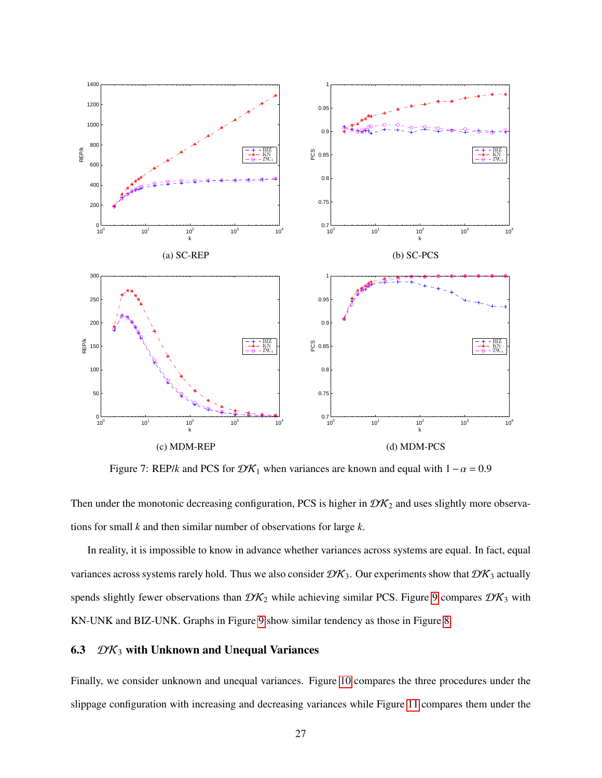<span id="page-26-0"></span>

Figure 7: REP/*k* and PCS for  $\mathcal{DK}_1$  when variances are known and equal with  $1-\alpha = 0.9$ 

Then under the monotonic decreasing configuration, PCS is higher in  $\mathcal{D}K_2$  and uses slightly more observations for small *k* and then similar number of observations for large *k*.

In reality, it is impossible to know in advance whether variances across systems are equal. In fact, equal variances across systems rarely hold. Thus we also consider  $\mathcal{DK}_3$ . Our experiments show that  $\mathcal{DK}_3$  actually spends slightly fewer observations than  $\mathcal{DK}_2$  while achieving similar PCS. Figure [9](#page-28-1) compares  $\mathcal{DK}_3$  with KN-UNK and BIZ-UNK. Graphs in Figure [9](#page-28-1) show similar tendency as those in Figure [8.](#page-27-0)

## 6.3  $\mathcal{DK}_3$  with Unknown and Unequal Variances

Finally, we consider unknown and unequal variances. Figure [10](#page-29-0) compares the three procedures under the slippage configuration with increasing and decreasing variances while Figure [11](#page-30-0) compares them under the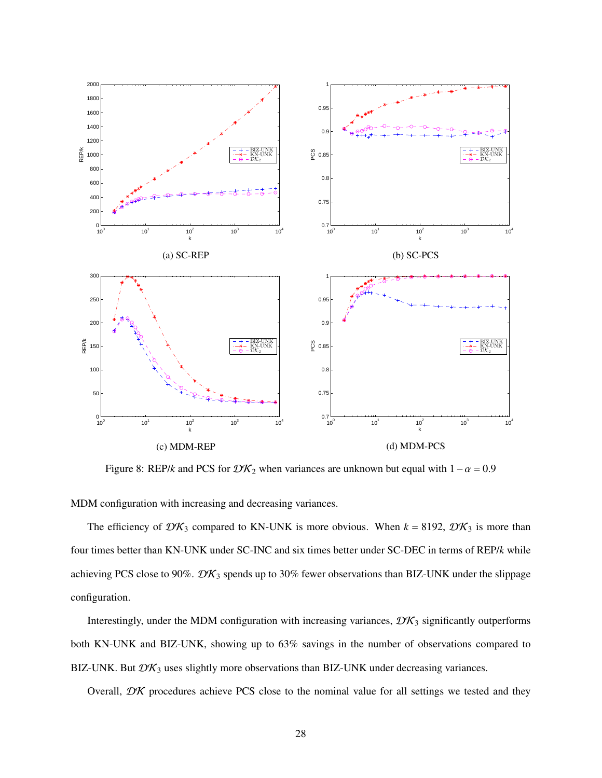<span id="page-27-0"></span>

Figure 8: REP/*k* and PCS for  $\mathcal{DK}_2$  when variances are unknown but equal with  $1-\alpha = 0.9$ 

MDM configuration with increasing and decreasing variances.

The efficiency of  $\mathcal{D}\mathcal{K}_3$  compared to KN-UNK is more obvious. When  $k = 8192$ ,  $\mathcal{D}\mathcal{K}_3$  is more than four times better than KN-UNK under SC-INC and six times better under SC-DEC in terms of REP/*k* while achieving PCS close to 90%.  $\mathcal{DK}_3$  spends up to 30% fewer observations than BIZ-UNK under the slippage configuration.

Interestingly, under the MDM configuration with increasing variances,  $\mathcal{DK}_3$  significantly outperforms both KN-UNK and BIZ-UNK, showing up to 63% savings in the number of observations compared to BIZ-UNK. But  $\mathcal{DK}_3$  uses slightly more observations than BIZ-UNK under decreasing variances.

Overall,  $\mathcal{D}K$  procedures achieve PCS close to the nominal value for all settings we tested and they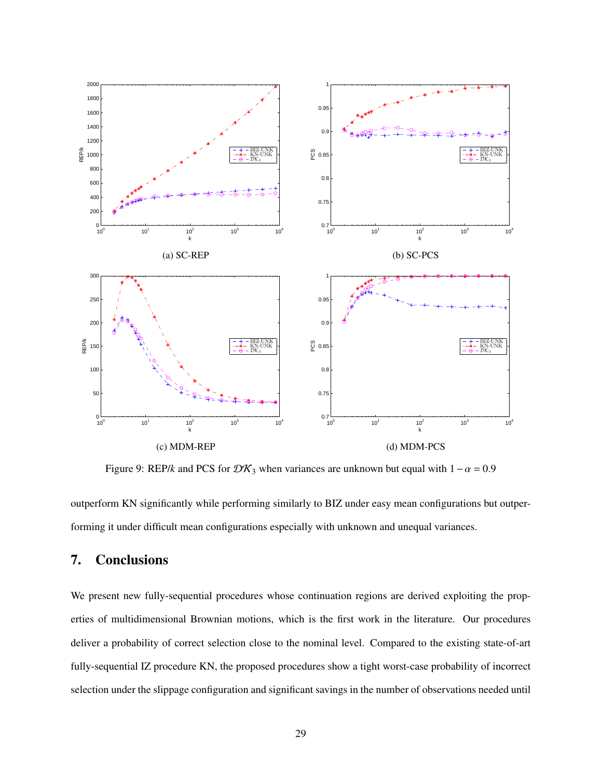<span id="page-28-1"></span>

Figure 9: REP/*k* and PCS for  $\mathcal{D}\mathcal{K}_3$  when variances are unknown but equal with  $1-\alpha = 0.9$ 

outperform KN significantly while performing similarly to BIZ under easy mean configurations but outperforming it under difficult mean configurations especially with unknown and unequal variances.

## <span id="page-28-0"></span>7. Conclusions

We present new fully-sequential procedures whose continuation regions are derived exploiting the properties of multidimensional Brownian motions, which is the first work in the literature. Our procedures deliver a probability of correct selection close to the nominal level. Compared to the existing state-of-art fully-sequential IZ procedure KN, the proposed procedures show a tight worst-case probability of incorrect selection under the slippage configuration and significant savings in the number of observations needed until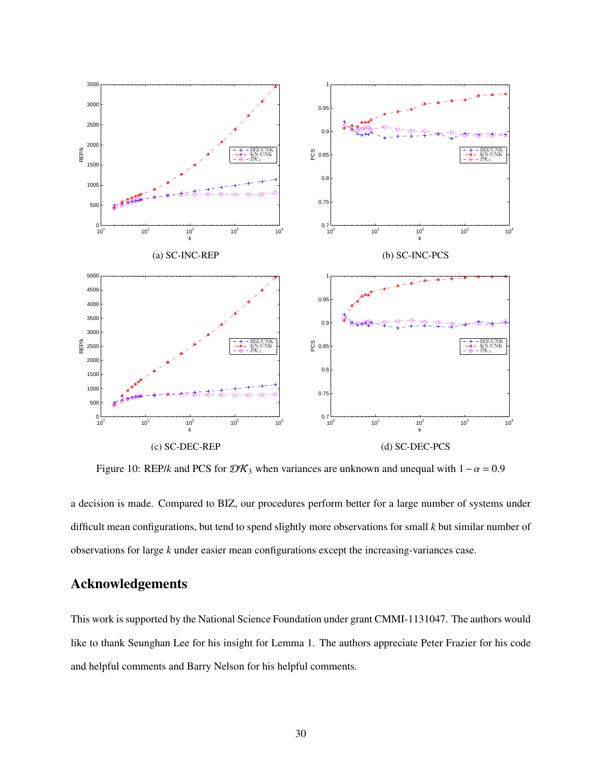<span id="page-29-0"></span>

Figure 10: REP/*k* and PCS for  $\mathcal{DK}_3$  when variances are unknown and unequal with  $1-\alpha = 0.9$ 

a decision is made. Compared to BIZ, our procedures perform better for a large number of systems under difficult mean configurations, but tend to spend slightly more observations for small *k* but similar number of observations for large *k* under easier mean configurations except the increasing-variances case.

## Acknowledgements

This work is supported by the National Science Foundation under grant CMMI-1131047. The authors would like to thank Seunghan Lee for his insight for Lemma 1. The authors appreciate Peter Frazier for his code and helpful comments and Barry Nelson for his helpful comments.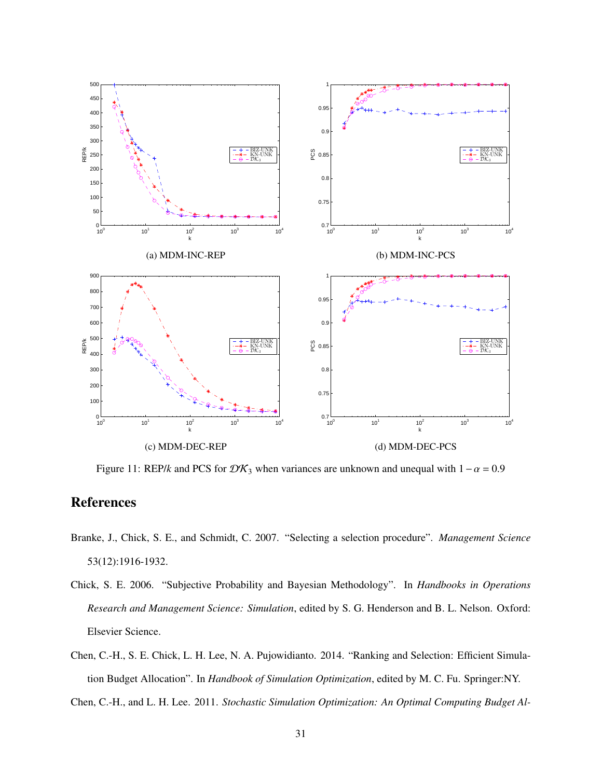<span id="page-30-0"></span>

Figure 11: REP/*k* and PCS for  $\mathcal{D}\mathcal{K}_3$  when variances are unknown and unequal with  $1-\alpha = 0.9$ 

## References

- Branke, J., Chick, S. E., and Schmidt, C. 2007. "Selecting a selection procedure". *Management Science* 53(12):1916-1932.
- Chick, S. E. 2006. "Subjective Probability and Bayesian Methodology". In *Handbooks in Operations Research and Management Science: Simulation*, edited by S. G. Henderson and B. L. Nelson. Oxford: Elsevier Science.
- Chen, C.-H., S. E. Chick, L. H. Lee, N. A. Pujowidianto. 2014. "Ranking and Selection: Efficient Simulation Budget Allocation". In *Handbook of Simulation Optimization*, edited by M. C. Fu. Springer:NY.

Chen, C.-H., and L. H. Lee. 2011. *Stochastic Simulation Optimization: An Optimal Computing Budget Al-*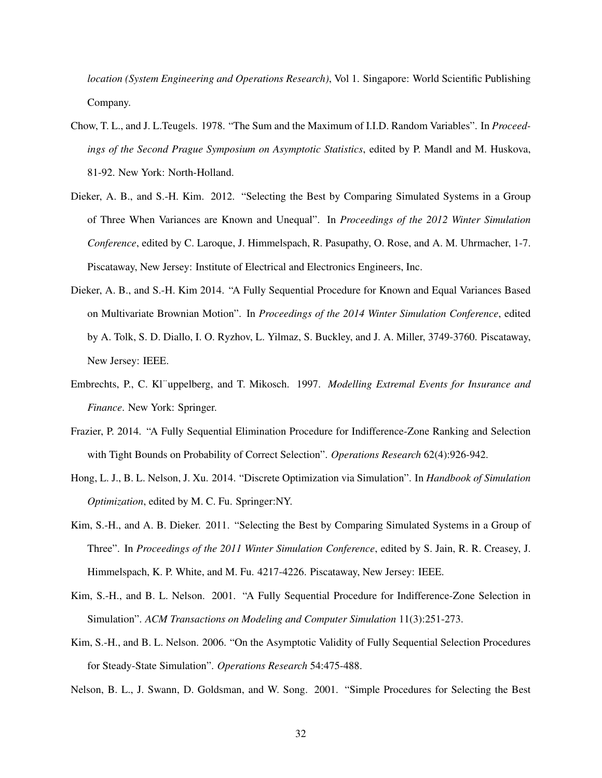*location (System Engineering and Operations Research)*, Vol 1. Singapore: World Scientific Publishing Company.

- Chow, T. L., and J. L.Teugels. 1978. "The Sum and the Maximum of I.I.D. Random Variables". In *Proceedings of the Second Prague Symposium on Asymptotic Statistics*, edited by P. Mandl and M. Huskova, 81-92. New York: North-Holland.
- Dieker, A. B., and S.-H. Kim. 2012. "Selecting the Best by Comparing Simulated Systems in a Group of Three When Variances are Known and Unequal". In *Proceedings of the 2012 Winter Simulation Conference*, edited by C. Laroque, J. Himmelspach, R. Pasupathy, O. Rose, and A. M. Uhrmacher, 1-7. Piscataway, New Jersey: Institute of Electrical and Electronics Engineers, Inc.
- Dieker, A. B., and S.-H. Kim 2014. "A Fully Sequential Procedure for Known and Equal Variances Based on Multivariate Brownian Motion". In *Proceedings of the 2014 Winter Simulation Conference*, edited by A. Tolk, S. D. Diallo, I. O. Ryzhov, L. Yilmaz, S. Buckley, and J. A. Miller, 3749-3760. Piscataway, New Jersey: IEEE.
- Embrechts, P., C. Kl¨uppelberg, and T. Mikosch. 1997. *Modelling Extremal Events for Insurance and Finance*. New York: Springer.
- Frazier, P. 2014. "A Fully Sequential Elimination Procedure for Indifference-Zone Ranking and Selection with Tight Bounds on Probability of Correct Selection". *Operations Research* 62(4):926-942.
- Hong, L. J., B. L. Nelson, J. Xu. 2014. "Discrete Optimization via Simulation". In *Handbook of Simulation Optimization*, edited by M. C. Fu. Springer:NY.
- Kim, S.-H., and A. B. Dieker. 2011. "Selecting the Best by Comparing Simulated Systems in a Group of Three". In *Proceedings of the 2011 Winter Simulation Conference*, edited by S. Jain, R. R. Creasey, J. Himmelspach, K. P. White, and M. Fu. 4217-4226. Piscataway, New Jersey: IEEE.
- Kim, S.-H., and B. L. Nelson. 2001. "A Fully Sequential Procedure for Indifference-Zone Selection in Simulation". *ACM Transactions on Modeling and Computer Simulation* 11(3):251-273.
- Kim, S.-H., and B. L. Nelson. 2006. "On the Asymptotic Validity of Fully Sequential Selection Procedures for Steady-State Simulation". *Operations Research* 54:475-488.

Nelson, B. L., J. Swann, D. Goldsman, and W. Song. 2001. "Simple Procedures for Selecting the Best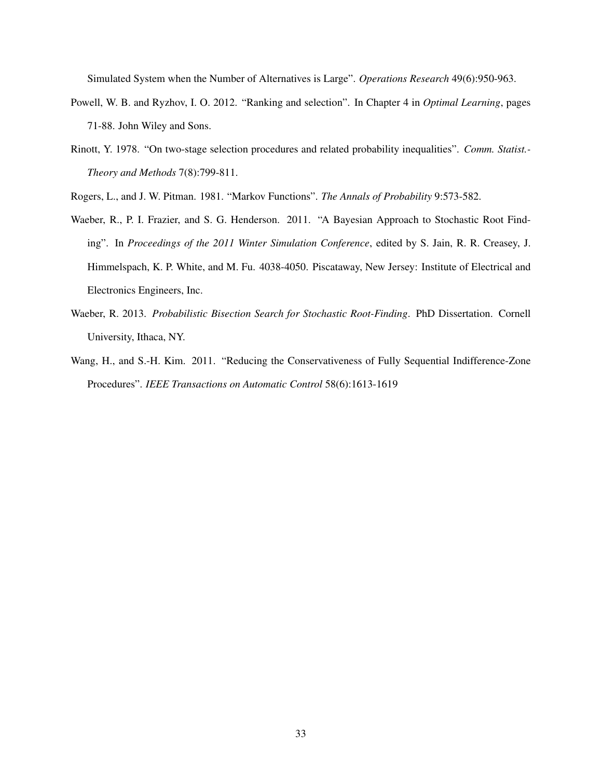Simulated System when the Number of Alternatives is Large". *Operations Research* 49(6):950-963.

- Powell, W. B. and Ryzhov, I. O. 2012. "Ranking and selection". In Chapter 4 in *Optimal Learning*, pages 71-88. John Wiley and Sons.
- Rinott, Y. 1978. "On two-stage selection procedures and related probability inequalities". *Comm. Statist.- Theory and Methods* 7(8):799-811.
- Rogers, L., and J. W. Pitman. 1981. "Markov Functions". *The Annals of Probability* 9:573-582.
- Waeber, R., P. I. Frazier, and S. G. Henderson. 2011. "A Bayesian Approach to Stochastic Root Finding". In *Proceedings of the 2011 Winter Simulation Conference*, edited by S. Jain, R. R. Creasey, J. Himmelspach, K. P. White, and M. Fu. 4038-4050. Piscataway, New Jersey: Institute of Electrical and Electronics Engineers, Inc.
- Waeber, R. 2013. *Probabilistic Bisection Search for Stochastic Root-Finding*. PhD Dissertation. Cornell University, Ithaca, NY.
- Wang, H., and S.-H. Kim. 2011. "Reducing the Conservativeness of Fully Sequential Indifference-Zone Procedures". *IEEE Transactions on Automatic Control* 58(6):1613-1619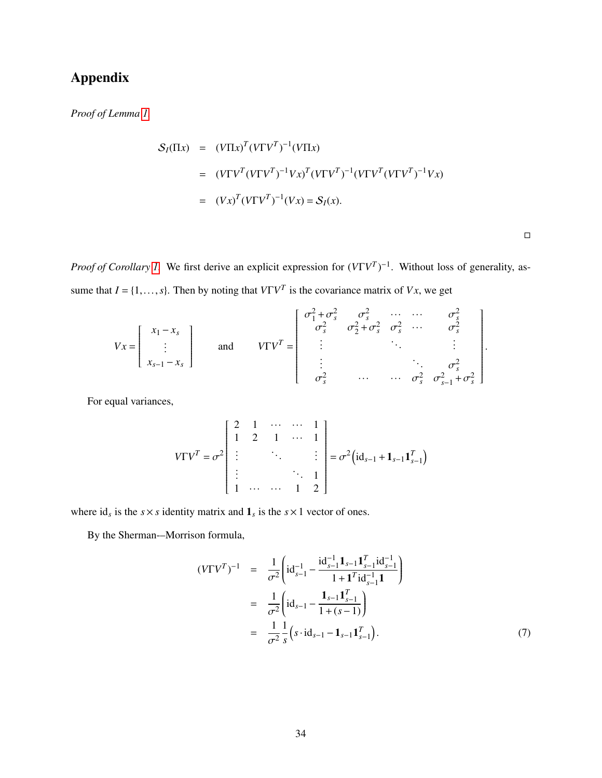# Appendix

*Proof of Lemma [1.](#page-9-0)*

$$
S_I(\Pi x) = (V\Pi x)^T (V\Gamma V^T)^{-1} (V\Pi x)
$$
  
= 
$$
(V\Gamma V^T (V\Gamma V^T)^{-1} Vx)^T (V\Gamma V^T)^{-1} (V\Gamma V^T (V\Gamma V^T)^{-1} Vx)
$$
  
= 
$$
(Vx)^T (V\Gamma V^T)^{-1} (Vx) = S_I(x).
$$

 $\Box$ 

*Proof of Corollary 1*. We first derive an explicit expression for  $(V\Gamma V^T)^{-1}$ . Without loss of generality, assume that  $I = \{1, ..., s\}$ . Then by noting that  $V\Gamma V^T$  is the covariance matrix of *Vx*, we get

$$
Vx = \begin{bmatrix} x_1 - x_s \\ \vdots \\ x_{s-1} - x_s \end{bmatrix} \quad \text{and} \quad V\Gamma V^T = \begin{bmatrix} \sigma_1^2 + \sigma_s^2 & \sigma_s^2 & \cdots & \cdots & \sigma_s^2 \\ \sigma_s^2 & \sigma_2^2 + \sigma_s^2 & \sigma_s^2 & \cdots & \sigma_s^2 \\ \vdots & \vdots & \ddots & \vdots & \vdots \\ \sigma_s^2 & \cdots & \cdots & \sigma_s^2 & \sigma_{s-1}^2 + \sigma_s^2 \end{bmatrix}.
$$

For equal variances,

$$
V\Gamma V^{T} = \sigma^{2} \begin{bmatrix} 2 & 1 & \cdots & \cdots & 1 \\ 1 & 2 & 1 & \cdots & 1 \\ \vdots & & \ddots & & \vdots \\ \vdots & & & \ddots & 1 \\ 1 & \cdots & \cdots & 1 & 2 \end{bmatrix} = \sigma^{2} (id_{s-1} + 1_{s-1} 1_{s-1}^{T})
$$

where  $id_s$  is the  $s \times s$  identity matrix and  $\mathbf{1}_s$  is the  $s \times 1$  vector of ones.

By the Sherman-–Morrison formula,

<span id="page-33-0"></span>
$$
(V\Gamma V^T)^{-1} = \frac{1}{\sigma^2} \left( \mathrm{id}_{s-1}^{-1} - \frac{\mathrm{id}_{s-1}^{-1} \mathbf{1}_{s-1} \mathbf{1}_{s-1}^T \mathrm{id}_{s-1}^{-1}}{1 + \mathbf{1}^T \mathrm{id}_{s-1}^{-1} \mathbf{1}} \right)
$$
  

$$
= \frac{1}{\sigma^2} \left( \mathrm{id}_{s-1} - \frac{\mathbf{1}_{s-1} \mathbf{1}_{s-1}^T}{1 + (s - 1)} \right)
$$
  

$$
= \frac{1}{\sigma^2} \frac{1}{s} \left( s \cdot \mathrm{id}_{s-1} - \mathbf{1}_{s-1} \mathbf{1}_{s-1}^T \right).
$$
 (7)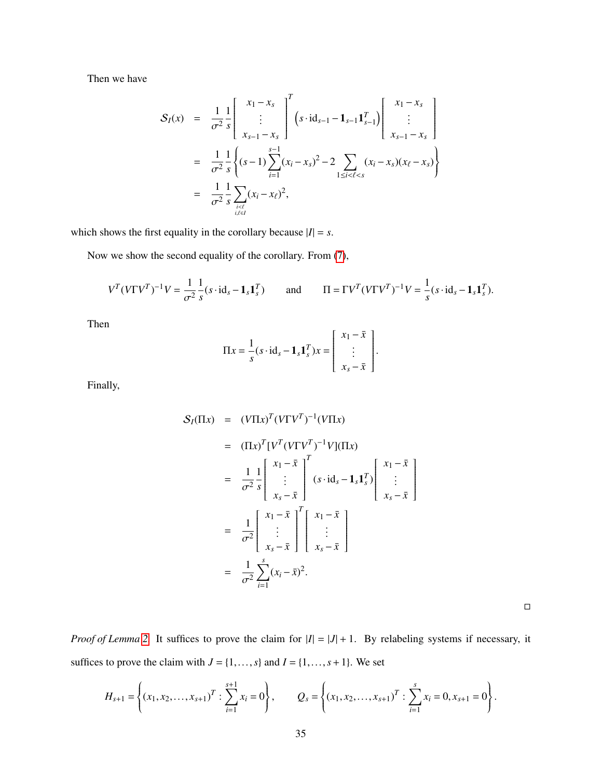Then we have

$$
S_{I}(x) = \frac{1}{\sigma^{2}} \frac{1}{s} \begin{bmatrix} x_{1} - x_{s} \\ \vdots \\ x_{s-1} - x_{s} \end{bmatrix}^{T} (s \cdot id_{s-1} - 1_{s-1} 1_{s-1}^{T}) \begin{bmatrix} x_{1} - x_{s} \\ \vdots \\ x_{s-1} - x_{s} \end{bmatrix}
$$
  
\n
$$
= \frac{1}{\sigma^{2}} \frac{1}{s} \left\{ (s-1) \sum_{i=1}^{s-1} (x_{i} - x_{s})^{2} - 2 \sum_{1 \le i < \ell < s} (x_{i} - x_{s})(x_{\ell} - x_{s}) \right\}
$$
  
\n
$$
= \frac{1}{\sigma^{2}} \frac{1}{s} \sum_{i \in \ell} (x_{i} - x_{\ell})^{2},
$$

which shows the first equality in the corollary because  $|I| = s$ .

Now we show the second equality of the corollary. From [\(7\)](#page-33-0),

$$
V^T(V\Gamma V^T)^{-1}V = \frac{1}{\sigma^2} \frac{1}{s} (s \cdot \mathrm{id}_s - \mathbf{1}_s \mathbf{1}_s^T) \quad \text{and} \quad \Pi = \Gamma V^T(V\Gamma V^T)^{-1}V = \frac{1}{s} (s \cdot \mathrm{id}_s - \mathbf{1}_s \mathbf{1}_s^T).
$$

Then

$$
\Pi x = \frac{1}{s} (s \cdot \mathrm{id}_s - \mathbf{1}_s \mathbf{1}_s^T) x = \begin{bmatrix} x_1 - \bar{x} \\ \vdots \\ x_s - \bar{x} \end{bmatrix}.
$$

Finally,

$$
S_I(\Pi x) = (V\Pi x)^T (V\Gamma V^T)^{-1} (V\Pi x)
$$
  
\n
$$
= (\Pi x)^T [V^T (V\Gamma V^T)^{-1} V](\Pi x)
$$
  
\n
$$
= \frac{1}{\sigma^2} \frac{1}{s} \begin{bmatrix} x_1 - \bar{x} \\ \vdots \\ x_s - \bar{x} \end{bmatrix}^T (s \cdot id_s - \mathbf{1}_s \mathbf{1}_s^T) \begin{bmatrix} x_1 - \bar{x} \\ \vdots \\ x_s - \bar{x} \end{bmatrix}
$$
  
\n
$$
= \frac{1}{\sigma^2} \begin{bmatrix} x_1 - \bar{x} \\ \vdots \\ x_s - \bar{x} \end{bmatrix}^T \begin{bmatrix} x_1 - \bar{x} \\ \vdots \\ x_s - \bar{x} \end{bmatrix}
$$
  
\n
$$
= \frac{1}{\sigma^2} \sum_{i=1}^s (x_i - \bar{x})^2.
$$

 $\Box$ 

*Proof of Lemma* [2.](#page-11-2) It suffices to prove the claim for  $|I| = |J| + 1$ . By relabeling systems if necessary, it suffices to prove the claim with  $J = \{1, \ldots, s\}$  and  $I = \{1, \ldots, s+1\}$ . We set

$$
H_{s+1} = \left\{ (x_1, x_2, \dots, x_{s+1})^T : \sum_{i=1}^{s+1} x_i = 0 \right\}, \qquad Q_s = \left\{ (x_1, x_2, \dots, x_{s+1})^T : \sum_{i=1}^{s} x_i = 0, x_{s+1} = 0 \right\}.
$$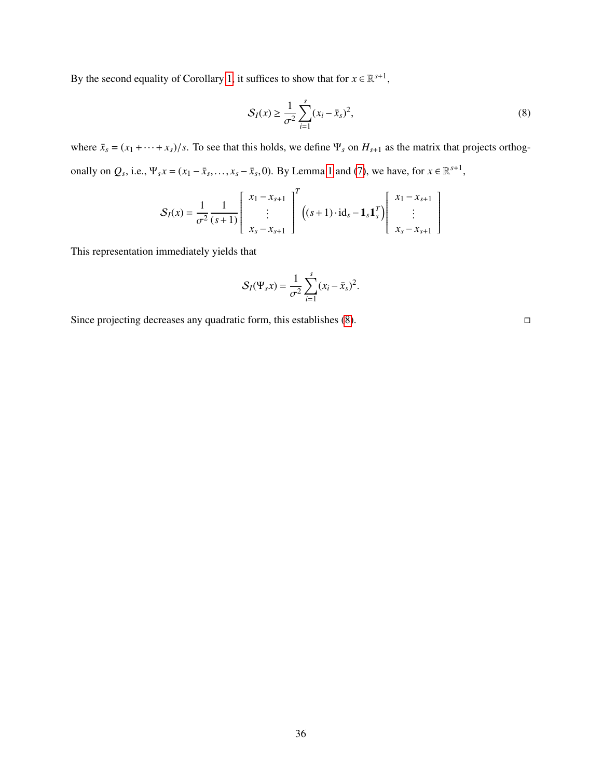By the second equality of Corollary [1,](#page-10-0) it suffices to show that for  $x \in \mathbb{R}^{s+1}$ ,

<span id="page-35-0"></span>
$$
S_I(x) \ge \frac{1}{\sigma^2} \sum_{i=1}^s (x_i - \bar{x}_s)^2,
$$
 (8)

where  $\bar{x}_s = (x_1 + \cdots + x_s)/s$ . To see that this holds, we define  $\Psi_s$  on  $H_{s+1}$  as the matrix that projects orthogonally on  $Q_s$ , i.e.,  $\Psi_s x = (x_1 - \bar{x}_s, \dots, x_s - \bar{x}_s, 0)$ . By Lemma [1](#page-9-0) and [\(7\)](#page-33-0), we have, for  $x \in \mathbb{R}^{s+1}$ ,

$$
S_I(x) = \frac{1}{\sigma^2} \frac{1}{(s+1)} \begin{bmatrix} x_1 - x_{s+1} \\ \vdots \\ x_s - x_{s+1} \end{bmatrix}^T \left( (s+1) \cdot id_s - \mathbf{1}_s \mathbf{1}_s^T \right) \begin{bmatrix} x_1 - x_{s+1} \\ \vdots \\ x_s - x_{s+1} \end{bmatrix}
$$

This representation immediately yields that

$$
S_I(\Psi_s x) = \frac{1}{\sigma^2} \sum_{i=1}^s (x_i - \bar{x}_s)^2.
$$

Since projecting decreases any quadratic form, this establishes  $(8)$ .